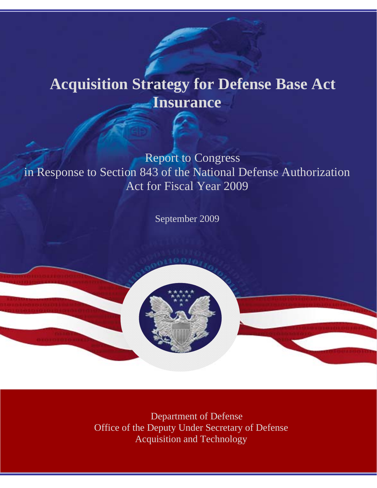# **Acquisition Strategy for Defense Base Act Insurance**

Report to Congress in Response to Section 843 of the National Defense Authorization Act for Fiscal Year 2009

September 2009

Department of Defense Office of the Deputy Under Secretary of Defense Acquisition and Technology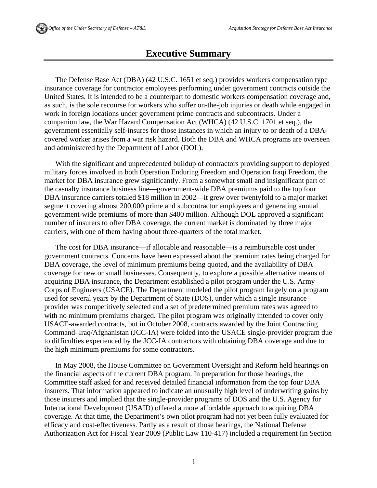### **Executive Summary**

The Defense Base Act (DBA) (42 U.S.C. 1651 et seq.) provides workers compensation type insurance coverage for contractor employees performing under government contracts outside the United States. It is intended to be a counterpart to domestic workers compensation coverage and, as such, is the sole recourse for workers who suffer on-the-job injuries or death while engaged in work in foreign locations under government prime contracts and subcontracts. Under a companion law, the War Hazard Compensation Act (WHCA) (42 U.S.C. 1701 et seq.), the government essentially self-insures for those instances in which an injury to or death of a DBAcovered worker arises from a war risk hazard. Both the DBA and WHCA programs are overseen and administered by the Department of Labor (DOL).

With the significant and unprecedented buildup of contractors providing support to deployed military forces involved in both Operation Enduring Freedom and Operation Iraqi Freedom, the market for DBA insurance grew significantly. From a somewhat small and insignificant part of the casualty insurance business line—government-wide DBA premiums paid to the top four DBA insurance carriers totaled \$18 million in 2002—it grew over twentyfold to a major market segment covering almost 200,000 prime and subcontractor employees and generating annual government-wide premiums of more than \$400 million. Although DOL approved a significant number of insurers to offer DBA coverage, the current market is dominated by three major carriers, with one of them having about three-quarters of the total market.

The cost for DBA insurance—if allocable and reasonable—is a reimbursable cost under government contracts. Concerns have been expressed about the premium rates being charged for DBA coverage, the level of minimum premiums being quoted, and the availability of DBA coverage for new or small businesses. Consequently, to explore a possible alternative means of acquiring DBA insurance, the Department established a pilot program under the U.S. Army Corps of Engineers (USACE). The Department modeled the pilot program largely on a program used for several years by the Department of State (DOS), under which a single insurance provider was competitively selected and a set of predetermined premium rates was agreed to with no minimum premiums charged. The pilot program was originally intended to cover only USACE-awarded contracts, but in October 2008, contracts awarded by the Joint Contracting Command–Iraq/Afghanistan (JCC-IA) were folded into the USACE single-provider program due to difficulties experienced by the JCC-IA contractors with obtaining DBA coverage and due to the high minimum premiums for some contractors.

In May 2008, the House Committee on Government Oversight and Reform held hearings on the financial aspects of the current DBA program. In preparation for those hearings, the Committee staff asked for and received detailed financial information from the top four DBA insurers. That information appeared to indicate an unusually high level of underwriting gains by those insurers and implied that the single-provider programs of DOS and the U.S. Agency for International Development (USAID) offered a more affordable approach to acquiring DBA coverage. At that time, the Department's own pilot program had not yet been fully evaluated for efficacy and cost-effectiveness. Partly as a result of those hearings, the National Defense Authorization Act for Fiscal Year 2009 (Public Law 110-417) included a requirement (in Section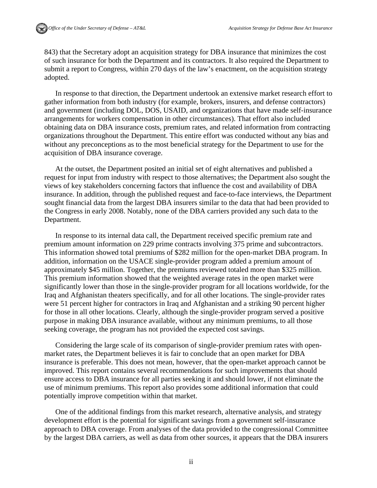843) that the Secretary adopt an acquisition strategy for DBA insurance that minimizes the cost of such insurance for both the Department and its contractors. It also required the Department to submit a report to Congress, within 270 days of the law's enactment, on the acquisition strategy adopted.

In response to that direction, the Department undertook an extensive market research effort to gather information from both industry (for example, brokers, insurers, and defense contractors) and government (including DOL, DOS, USAID, and organizations that have made self-insurance arrangements for workers compensation in other circumstances). That effort also included obtaining data on DBA insurance costs, premium rates, and related information from contracting organizations throughout the Department. This entire effort was conducted without any bias and without any preconceptions as to the most beneficial strategy for the Department to use for the acquisition of DBA insurance coverage.

At the outset, the Department posited an initial set of eight alternatives and published a request for input from industry with respect to those alternatives; the Department also sought the views of key stakeholders concerning factors that influence the cost and availability of DBA insurance. In addition, through the published request and face-to-face interviews, the Department sought financial data from the largest DBA insurers similar to the data that had been provided to the Congress in early 2008. Notably, none of the DBA carriers provided any such data to the Department.

In response to its internal data call, the Department received specific premium rate and premium amount information on 229 prime contracts involving 375 prime and subcontractors. This information showed total premiums of \$282 million for the open-market DBA program. In addition, information on the USACE single-provider program added a premium amount of approximately \$45 million. Together, the premiums reviewed totaled more than \$325 million. This premium information showed that the weighted average rates in the open market were significantly lower than those in the single-provider program for all locations worldwide, for the Iraq and Afghanistan theaters specifically, and for all other locations. The single-provider rates were 51 percent higher for contractors in Iraq and Afghanistan and a striking 90 percent higher for those in all other locations. Clearly, although the single-provider program served a positive purpose in making DBA insurance available, without any minimum premiums, to all those seeking coverage, the program has not provided the expected cost savings.

Considering the large scale of its comparison of single-provider premium rates with openmarket rates, the Department believes it is fair to conclude that an open market for DBA insurance is preferable. This does not mean, however, that the open-market approach cannot be improved. This report contains several recommendations for such improvements that should ensure access to DBA insurance for all parties seeking it and should lower, if not eliminate the use of minimum premiums. This report also provides some additional information that could potentially improve competition within that market.

One of the additional findings from this market research, alternative analysis, and strategy development effort is the potential for significant savings from a government self-insurance approach to DBA coverage. From analyses of the data provided to the congressional Committee by the largest DBA carriers, as well as data from other sources, it appears that the DBA insurers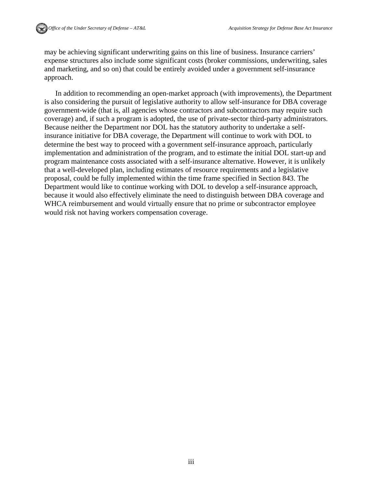may be achieving significant underwriting gains on this line of business. Insurance carriers' expense structures also include some significant costs (broker commissions, underwriting, sales and marketing, and so on) that could be entirely avoided under a government self-insurance approach.

In addition to recommending an open-market approach (with improvements), the Department is also considering the pursuit of legislative authority to allow self-insurance for DBA coverage government-wide (that is, all agencies whose contractors and subcontractors may require such coverage) and, if such a program is adopted, the use of private-sector third-party administrators. Because neither the Department nor DOL has the statutory authority to undertake a selfinsurance initiative for DBA coverage, the Department will continue to work with DOL to determine the best way to proceed with a government self-insurance approach, particularly implementation and administration of the program, and to estimate the initial DOL start-up and program maintenance costs associated with a self-insurance alternative. However, it is unlikely that a well-developed plan, including estimates of resource requirements and a legislative proposal, could be fully implemented within the time frame specified in Section 843. The Department would like to continue working with DOL to develop a self-insurance approach, because it would also effectively eliminate the need to distinguish between DBA coverage and WHCA reimbursement and would virtually ensure that no prime or subcontractor employee would risk not having workers compensation coverage.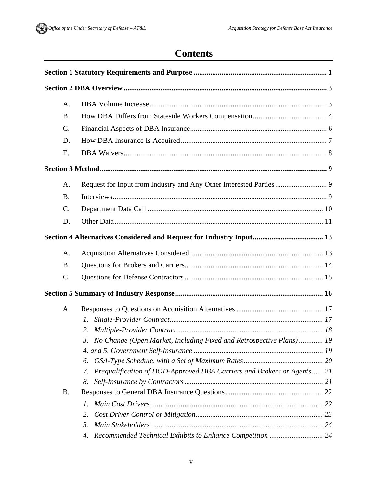### **Contents**

| A.              |                                                                              |  |
|-----------------|------------------------------------------------------------------------------|--|
| <b>B.</b>       |                                                                              |  |
| C.              |                                                                              |  |
| D.              |                                                                              |  |
| E.              |                                                                              |  |
|                 |                                                                              |  |
| A.              |                                                                              |  |
| <b>B.</b>       |                                                                              |  |
| $\mathcal{C}$ . |                                                                              |  |
| D.              |                                                                              |  |
|                 |                                                                              |  |
| A.              |                                                                              |  |
| <b>B.</b>       |                                                                              |  |
| C.              |                                                                              |  |
|                 |                                                                              |  |
| A.              |                                                                              |  |
|                 | 1.                                                                           |  |
|                 | 2.                                                                           |  |
|                 | 3. No Change (Open Market, Including Fixed and Retrospective Plans) 19       |  |
|                 |                                                                              |  |
|                 | 6.                                                                           |  |
|                 | Prequalification of DOD-Approved DBA Carriers and Brokers or Agents 21<br>7. |  |
|                 | 8.                                                                           |  |
| <b>B.</b>       |                                                                              |  |
|                 | $\mathcal{I}$ .                                                              |  |
|                 | 2.                                                                           |  |
|                 | 3.                                                                           |  |
|                 | 4.                                                                           |  |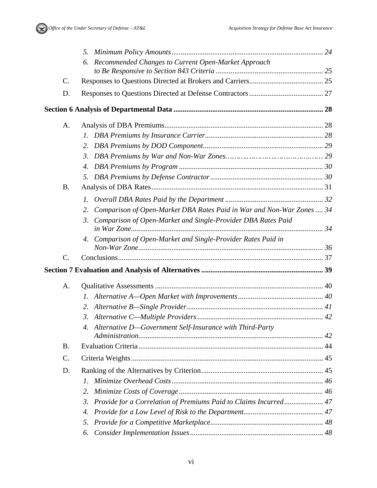

|                 | Recommended Changes to Current Open-Market Approach<br>6.                   |  |
|-----------------|-----------------------------------------------------------------------------|--|
|                 |                                                                             |  |
| C.              |                                                                             |  |
| D.              |                                                                             |  |
|                 |                                                                             |  |
| A.              |                                                                             |  |
|                 |                                                                             |  |
|                 | 2.                                                                          |  |
|                 | 3.                                                                          |  |
|                 | 4.                                                                          |  |
|                 | 5.                                                                          |  |
| <b>B.</b>       |                                                                             |  |
|                 | $\mathcal{I}$ .                                                             |  |
|                 | Comparison of Open-Market DBA Rates Paid in War and Non-War Zones  34<br>2. |  |
|                 | Comparison of Open-Market and Single-Provider DBA Rates Paid<br>3.          |  |
|                 | Comparison of Open-Market and Single-Provider Rates Paid in<br>4.           |  |
| $C$ .           |                                                                             |  |
|                 |                                                                             |  |
| A.              |                                                                             |  |
|                 |                                                                             |  |
|                 | 2.                                                                          |  |
|                 |                                                                             |  |
|                 | 4. Alternative D-Government Self-Insurance with Third-Party                 |  |
| <b>B</b> .      |                                                                             |  |
| $\mathcal{C}$ . |                                                                             |  |
| D.              |                                                                             |  |
|                 | I.                                                                          |  |
|                 | 2.                                                                          |  |
|                 | Provide for a Correlation of Premiums Paid to Claims Incurred 47<br>3.      |  |
|                 | 4.                                                                          |  |
|                 | 5.                                                                          |  |
|                 | 6.                                                                          |  |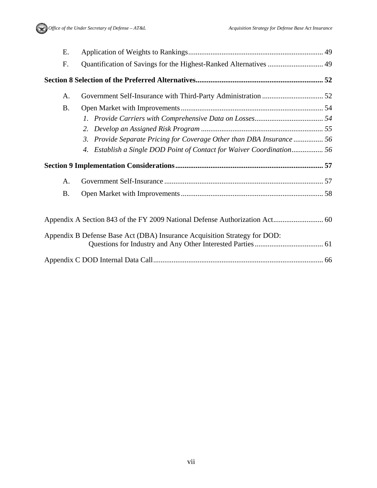Office of the Under Secretary of Defense – AT&L Acquisition Strategy for Defense Base Act Insurance

| Ε.        |                                                                           |  |
|-----------|---------------------------------------------------------------------------|--|
| F.        | Quantification of Savings for the Highest-Ranked Alternatives  49         |  |
|           |                                                                           |  |
| A.        |                                                                           |  |
| <b>B.</b> |                                                                           |  |
|           |                                                                           |  |
|           | 2.                                                                        |  |
|           | 3. Provide Separate Pricing for Coverage Other than DBA Insurance  56     |  |
|           |                                                                           |  |
|           |                                                                           |  |
|           |                                                                           |  |
| A.        |                                                                           |  |
| <b>B.</b> |                                                                           |  |
|           |                                                                           |  |
|           | Appendix B Defense Base Act (DBA) Insurance Acquisition Strategy for DOD: |  |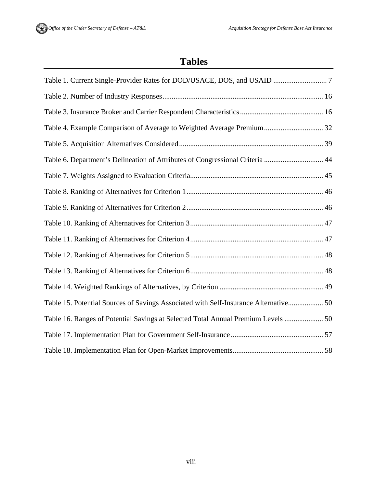### **Tables**

| Table 4. Example Comparison of Average to Weighted Average Premium 32                |
|--------------------------------------------------------------------------------------|
|                                                                                      |
| Table 6. Department's Delineation of Attributes of Congressional Criteria  44        |
|                                                                                      |
|                                                                                      |
|                                                                                      |
|                                                                                      |
|                                                                                      |
|                                                                                      |
|                                                                                      |
|                                                                                      |
| Table 15. Potential Sources of Savings Associated with Self-Insurance Alternative 50 |
| Table 16. Ranges of Potential Savings at Selected Total Annual Premium Levels  50    |
|                                                                                      |
|                                                                                      |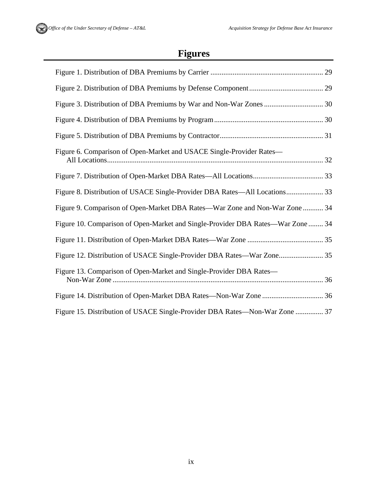# **Figures**

| Figure 6. Comparison of Open-Market and USACE Single-Provider Rates-            |
|---------------------------------------------------------------------------------|
|                                                                                 |
| Figure 8. Distribution of USACE Single-Provider DBA Rates—All Locations 33      |
| Figure 9. Comparison of Open-Market DBA Rates—War Zone and Non-War Zone  34     |
| Figure 10. Comparison of Open-Market and Single-Provider DBA Rates—War Zone  34 |
|                                                                                 |
|                                                                                 |
| Figure 13. Comparison of Open-Market and Single-Provider DBA Rates-             |
|                                                                                 |
| Figure 15. Distribution of USACE Single-Provider DBA Rates—Non-War Zone  37     |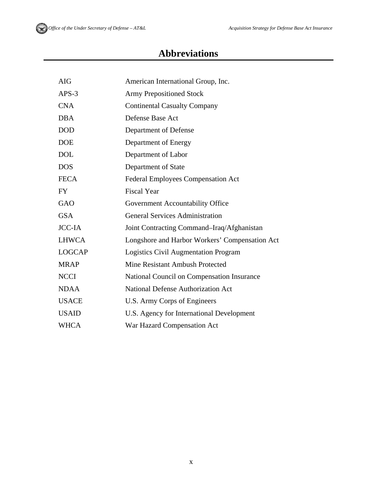# **Abbreviations**

| <b>AIG</b>    | American International Group, Inc.             |
|---------------|------------------------------------------------|
| $APS-3$       | <b>Army Prepositioned Stock</b>                |
| <b>CNA</b>    | <b>Continental Casualty Company</b>            |
| <b>DBA</b>    | Defense Base Act                               |
| <b>DOD</b>    | Department of Defense                          |
| <b>DOE</b>    | Department of Energy                           |
| <b>DOL</b>    | Department of Labor                            |
| <b>DOS</b>    | Department of State                            |
| <b>FECA</b>   | <b>Federal Employees Compensation Act</b>      |
| <b>FY</b>     | <b>Fiscal Year</b>                             |
| GAO           | Government Accountability Office               |
| <b>GSA</b>    | <b>General Services Administration</b>         |
| <b>JCC-IA</b> | Joint Contracting Command–Iraq/Afghanistan     |
| <b>LHWCA</b>  | Longshore and Harbor Workers' Compensation Act |
| <b>LOGCAP</b> | <b>Logistics Civil Augmentation Program</b>    |
| <b>MRAP</b>   | Mine Resistant Ambush Protected                |
| <b>NCCI</b>   | National Council on Compensation Insurance     |
| <b>NDAA</b>   | <b>National Defense Authorization Act</b>      |
| <b>USACE</b>  | U.S. Army Corps of Engineers                   |
| <b>USAID</b>  | U.S. Agency for International Development      |
| <b>WHCA</b>   | War Hazard Compensation Act                    |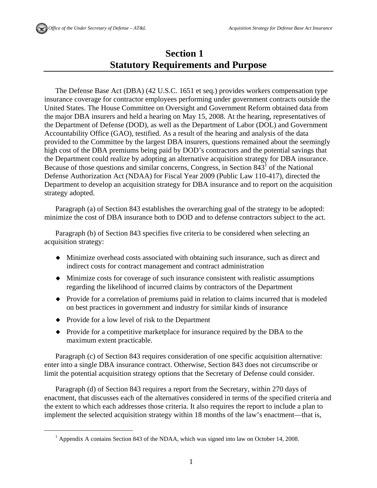### **Section 1 Statutory Requirements and Purpose**

The Defense Base Act (DBA) (42 U.S.C. 1651 et seq.) provides workers compensation type insurance coverage for contractor employees performing under government contracts outside the United States. The House Committee on Oversight and Government Reform obtained data from the major DBA insurers and held a hearing on May 15, 2008. At the hearing, representatives of the Department of Defense (DOD), as well as the Department of Labor (DOL) and Government Accountability Office (GAO), testified. As a result of the hearing and analysis of the data provided to the Committee by the largest DBA insurers, questions remained about the seemingly high cost of the DBA premiums being paid by DOD's contractors and the potential savings that the Department could realize by adopting an alternative acquisition strategy for DBA insurance. Because of those questions and similar concerns, Congress, in Section  $843<sup>1</sup>$  of the National Defense Authorization Act (NDAA) for Fiscal Year 2009 (Public Law 110-417), directed the Department to develop an acquisition strategy for DBA insurance and to report on the acquisition strategy adopted.

Paragraph (a) of Section 843 establishes the overarching goal of the strategy to be adopted: minimize the cost of DBA insurance both to DOD and to defense contractors subject to the act.

Paragraph (b) of Section 843 specifies five criteria to be considered when selecting an acquisition strategy:

- Minimize overhead costs associated with obtaining such insurance, such as direct and indirect costs for contract management and contract administration
- Minimize costs for coverage of such insurance consistent with realistic assumptions regarding the likelihood of incurred claims by contractors of the Department
- Provide for a correlation of premiums paid in relation to claims incurred that is modeled on best practices in government and industry for similar kinds of insurance
- Provide for a low level of risk to the Department
- Provide for a competitive marketplace for insurance required by the DBA to the maximum extent practicable.

Paragraph (c) of Section 843 requires consideration of one specific acquisition alternative: enter into a single DBA insurance contract. Otherwise, Section 843 does not circumscribe or limit the potential acquisition strategy options that the Secretary of Defense could consider.

Paragraph (d) of Section 843 requires a report from the Secretary, within 270 days of enactment, that discusses each of the alternatives considered in terms of the specified criteria and the extent to which each addresses those criteria. It also requires the report to include a plan to implement the selected acquisition strategy within 18 months of the law's enactment—that is,

 $\overline{\phantom{a}}$ <sup>1</sup> Appendix A contains Section 843 of the NDAA, which was signed into law on October 14, 2008.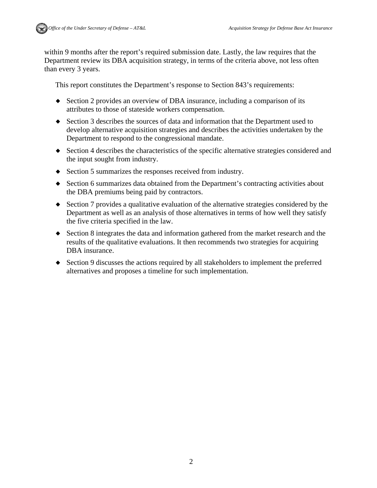within 9 months after the report's required submission date. Lastly, the law requires that the Department review its DBA acquisition strategy, in terms of the criteria above, not less often than every 3 years.

This report constitutes the Department's response to Section 843's requirements:

- Section 2 provides an overview of DBA insurance, including a comparison of its attributes to those of stateside workers compensation.
- Section 3 describes the sources of data and information that the Department used to develop alternative acquisition strategies and describes the activities undertaken by the Department to respond to the congressional mandate.
- Section 4 describes the characteristics of the specific alternative strategies considered and the input sought from industry.
- $\bullet$  Section 5 summarizes the responses received from industry.
- Section 6 summarizes data obtained from the Department's contracting activities about the DBA premiums being paid by contractors.
- Section 7 provides a qualitative evaluation of the alternative strategies considered by the Department as well as an analysis of those alternatives in terms of how well they satisfy the five criteria specified in the law.
- Section 8 integrates the data and information gathered from the market research and the results of the qualitative evaluations. It then recommends two strategies for acquiring DBA insurance.
- Section 9 discusses the actions required by all stakeholders to implement the preferred alternatives and proposes a timeline for such implementation.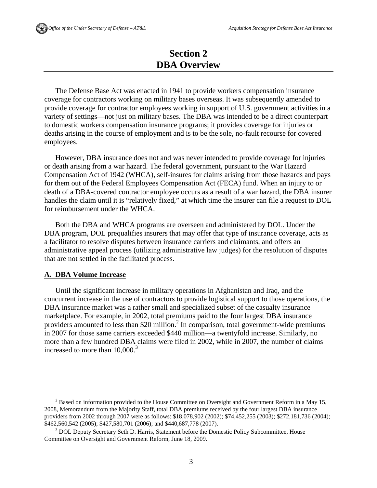### **Section 2 DBA Overview**

The Defense Base Act was enacted in 1941 to provide workers compensation insurance coverage for contractors working on military bases overseas. It was subsequently amended to provide coverage for contractor employees working in support of U.S. government activities in a variety of settings—not just on military bases. The DBA was intended to be a direct counterpart to domestic workers compensation insurance programs; it provides coverage for injuries or deaths arising in the course of employment and is to be the sole, no-fault recourse for covered employees.

However, DBA insurance does not and was never intended to provide coverage for injuries or death arising from a war hazard. The federal government, pursuant to the War Hazard Compensation Act of 1942 (WHCA), self-insures for claims arising from those hazards and pays for them out of the Federal Employees Compensation Act (FECA) fund. When an injury to or death of a DBA-covered contractor employee occurs as a result of a war hazard, the DBA insurer handles the claim until it is "relatively fixed," at which time the insurer can file a request to DOL for reimbursement under the WHCA.

Both the DBA and WHCA programs are overseen and administered by DOL. Under the DBA program, DOL prequalifies insurers that may offer that type of insurance coverage, acts as a facilitator to resolve disputes between insurance carriers and claimants, and offers an administrative appeal process (utilizing administrative law judges) for the resolution of disputes that are not settled in the facilitated process.

#### **A. DBA Volume Increase**

Until the significant increase in military operations in Afghanistan and Iraq, and the concurrent increase in the use of contractors to provide logistical support to those operations, the DBA insurance market was a rather small and specialized subset of the casualty insurance marketplace. For example, in 2002, total premiums paid to the four largest DBA insurance providers amounted to less than \$20 million.<sup>2</sup> In comparison, total government-wide premiums in 2007 for those same carriers exceeded \$440 million—a twentyfold increase. Similarly, no more than a few hundred DBA claims were filed in 2002, while in 2007, the number of claims increased to more than  $10,000$ <sup>3</sup>

 $\overline{\qquad \qquad }$  $2$  Based on information provided to the House Committee on Oversight and Government Reform in a May 15, 2008, Memorandum from the Majority Staff, total DBA premiums received by the four largest DBA insurance providers from 2002 through 2007 were as follows: \$18,078,902 (2002); \$74,452,255 (2003); \$272,181,736 (2004); \$462,560,542 (2005); \$427,580,701 (2006); and \$440,687,778 (2007).

<sup>&</sup>lt;sup>3</sup> DOL Deputy Secretary Seth D. Harris, Statement before the Domestic Policy Subcommittee, House Committee on Oversight and Government Reform, June 18, 2009.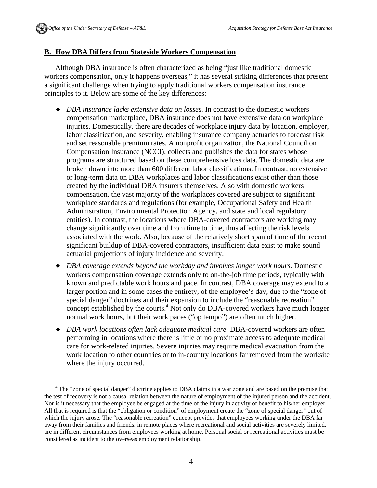#### **B. How DBA Differs from Stateside Workers Compensation**

Although DBA insurance is often characterized as being "just like traditional domestic workers compensation, only it happens overseas," it has several striking differences that present a significant challenge when trying to apply traditional workers compensation insurance principles to it. Below are some of the key differences:

- *DBA insurance lacks extensive data on losses.* In contrast to the domestic workers compensation marketplace, DBA insurance does not have extensive data on workplace injuries. Domestically, there are decades of workplace injury data by location, employer, labor classification, and severity, enabling insurance company actuaries to forecast risk and set reasonable premium rates. A nonprofit organization, the National Council on Compensation Insurance (NCCI), collects and publishes the data for states whose programs are structured based on these comprehensive loss data. The domestic data are broken down into more than 600 different labor classifications. In contrast, no extensive or long-term data on DBA workplaces and labor classifications exist other than those created by the individual DBA insurers themselves. Also with domestic workers compensation, the vast majority of the workplaces covered are subject to significant workplace standards and regulations (for example, Occupational Safety and Health Administration, Environmental Protection Agency, and state and local regulatory entities). In contrast, the locations where DBA-covered contractors are working may change significantly over time and from time to time, thus affecting the risk levels associated with the work. Also, because of the relatively short span of time of the recent significant buildup of DBA-covered contractors, insufficient data exist to make sound actuarial projections of injury incidence and severity.
- *DBA coverage extends beyond the workday and involves longer work hours.* Domestic workers compensation coverage extends only to on-the-job time periods, typically with known and predictable work hours and pace. In contrast, DBA coverage may extend to a larger portion and in some cases the entirety, of the employee's day, due to the "zone of special danger" doctrines and their expansion to include the "reasonable recreation" concept established by the courts.<sup>4</sup> Not only do DBA-covered workers have much longer normal work hours, but their work paces ("op tempo") are often much higher.
- *DBA work locations often lack adequate medical care.* DBA-covered workers are often performing in locations where there is little or no proximate access to adequate medical care for work-related injuries. Severe injuries may require medical evacuation from the work location to other countries or to in-country locations far removed from the worksite where the injury occurred.

 $\overline{a}$ <sup>4</sup> The "zone of special danger" doctrine applies to DBA claims in a war zone and are based on the premise that the test of recovery is not a causal relation between the nature of employment of the injured person and the accident. Nor is it necessary that the employee be engaged at the time of the injury in activity of benefit to his/her employer. All that is required is that the "obligation or condition" of employment create the "zone of special danger" out of which the injury arose. The "reasonable recreation" concept provides that employees working under the DBA far away from their families and friends, in remote places where recreational and social activities are severely limited, are in different circumstances from employees working at home. Personal social or recreational activities must be considered as incident to the overseas employment relationship.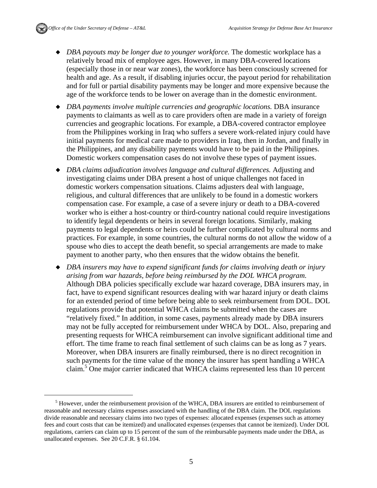- *DBA payouts may be longer due to younger workforce.* The domestic workplace has a relatively broad mix of employee ages. However, in many DBA-covered locations (especially those in or near war zones), the workforce has been consciously screened for health and age. As a result, if disabling injuries occur, the payout period for rehabilitation and for full or partial disability payments may be longer and more expensive because the age of the workforce tends to be lower on average than in the domestic environment.
- *DBA payments involve multiple currencies and geographic locations.* DBA insurance payments to claimants as well as to care providers often are made in a variety of foreign currencies and geographic locations. For example, a DBA-covered contractor employee from the Philippines working in Iraq who suffers a severe work-related injury could have initial payments for medical care made to providers in Iraq, then in Jordan, and finally in the Philippines, and any disability payments would have to be paid in the Philippines. Domestic workers compensation cases do not involve these types of payment issues.
- *DBA claims adjudication involves language and cultural differences.* Adjusting and investigating claims under DBA present a host of unique challenges not faced in domestic workers compensation situations. Claims adjusters deal with language, religious, and cultural differences that are unlikely to be found in a domestic workers compensation case. For example, a case of a severe injury or death to a DBA-covered worker who is either a host-country or third-country national could require investigations to identify legal dependents or heirs in several foreign locations. Similarly, making payments to legal dependents or heirs could be further complicated by cultural norms and practices. For example, in some countries, the cultural norms do not allow the widow of a spouse who dies to accept the death benefit, so special arrangements are made to make payment to another party, who then ensures that the widow obtains the benefit.
- *DBA insurers may have to expend significant funds for claims involving death or injury arising from war hazards, before being reimbursed by the DOL WHCA program.*  Although DBA policies specifically exclude war hazard coverage, DBA insurers may, in fact, have to expend significant resources dealing with war hazard injury or death claims for an extended period of time before being able to seek reimbursement from DOL. DOL regulations provide that potential WHCA claims be submitted when the cases are "relatively fixed." In addition, in some cases, payments already made by DBA insurers may not be fully accepted for reimbursement under WHCA by DOL. Also, preparing and presenting requests for WHCA reimbursement can involve significant additional time and effort. The time frame to reach final settlement of such claims can be as long as 7 years. Moreover, when DBA insurers are finally reimbursed, there is no direct recognition in such payments for the time value of the money the insurer has spent handling a WHCA claim.<sup>5</sup> One major carrier indicated that WHCA claims represented less than 10 percent

 $\frac{1}{5}$  $<sup>5</sup>$  However, under the reimbursement provision of the WHCA, DBA insurers are entitled to reimbursement of</sup> reasonable and necessary claims expenses associated with the handling of the DBA claim. The DOL regulations divide reasonable and necessary claims into two types of expenses: allocated expenses (expenses such as attorney fees and court costs that can be itemized) and unallocated expenses (expenses that cannot be itemized). Under DOL regulations, carriers can claim up to 15 percent of the sum of the reimbursable payments made under the DBA, as unallocated expenses. See 20 C.F.R. § 61.104.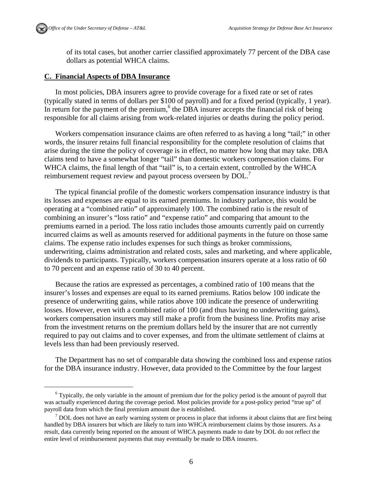

of its total cases, but another carrier classified approximately 77 percent of the DBA case dollars as potential WHCA claims.

#### **C. Financial Aspects of DBA Insurance**

In most policies, DBA insurers agree to provide coverage for a fixed rate or set of rates (typically stated in terms of dollars per \$100 of payroll) and for a fixed period (typically, 1 year). In return for the payment of the premium, $<sup>6</sup>$  the DBA insurer accepts the financial risk of being</sup> responsible for all claims arising from work-related injuries or deaths during the policy period.

Workers compensation insurance claims are often referred to as having a long "tail;" in other words, the insurer retains full financial responsibility for the complete resolution of claims that arise during the time the policy of coverage is in effect, no matter how long that may take. DBA claims tend to have a somewhat longer "tail" than domestic workers compensation claims. For WHCA claims, the final length of that "tail" is, to a certain extent, controlled by the WHCA reimbursement request review and payout process overseen by  $DOL$ .

The typical financial profile of the domestic workers compensation insurance industry is that its losses and expenses are equal to its earned premiums. In industry parlance, this would be operating at a "combined ratio" of approximately 100. The combined ratio is the result of combining an insurer's "loss ratio" and "expense ratio" and comparing that amount to the premiums earned in a period. The loss ratio includes those amounts currently paid on currently incurred claims as well as amounts reserved for additional payments in the future on those same claims. The expense ratio includes expenses for such things as broker commissions, underwriting, claims administration and related costs, sales and marketing, and where applicable, dividends to participants. Typically, workers compensation insurers operate at a loss ratio of 60 to 70 percent and an expense ratio of 30 to 40 percent.

Because the ratios are expressed as percentages, a combined ratio of 100 means that the insurer's losses and expenses are equal to its earned premiums. Ratios below 100 indicate the presence of underwriting gains, while ratios above 100 indicate the presence of underwriting losses. However, even with a combined ratio of 100 (and thus having no underwriting gains), workers compensation insurers may still make a profit from the business line. Profits may arise from the investment returns on the premium dollars held by the insurer that are not currently required to pay out claims and to cover expenses, and from the ultimate settlement of claims at levels less than had been previously reserved.

The Department has no set of comparable data showing the combined loss and expense ratios for the DBA insurance industry. However, data provided to the Committee by the four largest

 $\overline{\phantom{0}}$  $6$  Typically, the only variable in the amount of premium due for the policy period is the amount of payroll that was actually experienced during the coverage period. Most policies provide for a post-policy period "true up" of payroll data from which the final premium amount due is established. 7

 $\frac{7}{1}$  DOL does not have an early warning system or process in place that informs it about claims that are first being handled by DBA insurers but which are likely to turn into WHCA reimbursement claims by those insurers. As a result, data currently being reported on the amount of WHCA payments made to date by DOL do not reflect the entire level of reimbursement payments that may eventually be made to DBA insurers.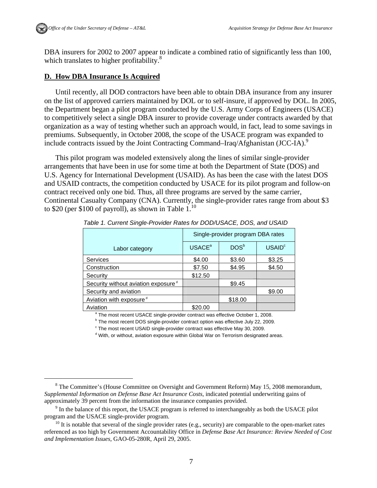DBA insurers for 2002 to 2007 appear to indicate a combined ratio of significantly less than 100, which translates to higher profitability.<sup>8</sup>

#### **D. How DBA Insurance Is Acquired**

Until recently, all DOD contractors have been able to obtain DBA insurance from any insurer on the list of approved carriers maintained by DOL or to self-insure, if approved by DOL. In 2005, the Department began a pilot program conducted by the U.S. Army Corps of Engineers (USACE) to competitively select a single DBA insurer to provide coverage under contracts awarded by that organization as a way of testing whether such an approach would, in fact, lead to some savings in premiums. Subsequently, in October 2008, the scope of the USACE program was expanded to include contracts issued by the Joint Contracting Command–Iraq/Afghanistan (JCC-IA).<sup>9</sup>

This pilot program was modeled extensively along the lines of similar single-provider arrangements that have been in use for some time at both the Department of State (DOS) and U.S. Agency for International Development (USAID). As has been the case with the latest DOS and USAID contracts, the competition conducted by USACE for its pilot program and follow-on contract received only one bid. Thus, all three programs are served by the same carrier, Continental Casualty Company (CNA). Currently, the single-provider rates range from about \$3 to \$20 (per \$100 of payroll), as shown in Table  $1<sup>10</sup>$ 

|                                                 | Single-provider program DBA rates |                  |                    |
|-------------------------------------------------|-----------------------------------|------------------|--------------------|
| Labor category                                  | <b>USACE<sup>a</sup></b>          | DOS <sup>b</sup> | USAID <sup>c</sup> |
| <b>Services</b>                                 | \$4.00                            | \$3.60           | \$3.25             |
| Construction                                    | \$7.50                            | \$4.95           | \$4.50             |
| Security                                        | \$12.50                           |                  |                    |
| Security without aviation exposure <sup>d</sup> |                                   | \$9.45           |                    |
| Security and aviation                           |                                   |                  | \$9.00             |
| Aviation with exposure <sup>d</sup>             |                                   | \$18.00          |                    |
| Aviation                                        | \$20.00                           |                  |                    |

*Table 1. Current Single-Provider Rates for DOD/USACE, DOS, and USAID* 

<sup>a</sup> The most recent USACE single-provider contract was effective October 1, 2008.<br><sup>b</sup> The most recent DOS single provider contract option was effective, luly 23, 2000.

<sup>b</sup> The most recent DOS single-provider contract option was effective July 22, 2009.

 $\degree$  The most recent USAID single-provider contract was effective May 30, 2009.

<sup>d</sup> With, or without, aviation exposure within Global War on Terrorism designated areas.

 <sup>8</sup> <sup>8</sup> The Committee's (House Committee on Oversight and Government Reform) May 15, 2008 memorandum, *Supplemental Information on Defense Base Act Insurance Costs*, indicated potential underwriting gains of approximately 39 percent from the information the insurance companies provided.

 $\degree$  In the balance of this report, the USACE program is referred to interchangeably as both the USACE pilot program and the USACE single-provider program.<br><sup>10</sup> It is notable that several of the single provider rates (e.g., security) are comparable to the open-market rates

referenced as too high by Government Accountability Office in *Defense Base Act Insurance: Review Needed of Cost and Implementation Issues,* GAO-05-280R, April 29, 2005.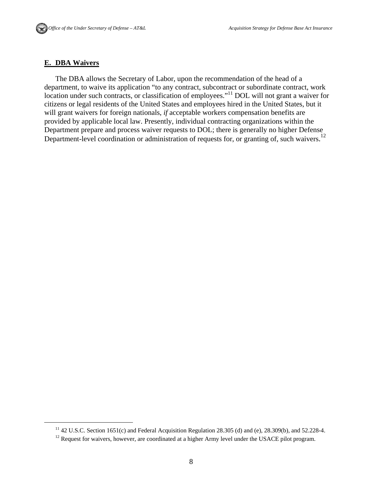#### **E. DBA Waivers**

The DBA allows the Secretary of Labor, upon the recommendation of the head of a department, to waive its application "to any contract, subcontract or subordinate contract, work location under such contracts, or classification of employees."<sup>11</sup> DOL will not grant a waiver for citizens or legal residents of the United States and employees hired in the United States, but it will grant waivers for foreign nationals, *if* acceptable workers compensation benefits are provided by applicable local law. Presently, individual contracting organizations within the Department prepare and process waiver requests to DOL; there is generally no higher Defense Department-level coordination or administration of requests for, or granting of, such waivers.<sup>12</sup>

<sup>&</sup>lt;sup>11</sup> 42 U.S.C. Section 1651(c) and Federal Acquisition Regulation 28.305 (d) and (e), 28.309(b), and 52.228-4. <sup>12</sup> Request for waivers, however, are coordinated at a higher Army level under the USACE pilot program.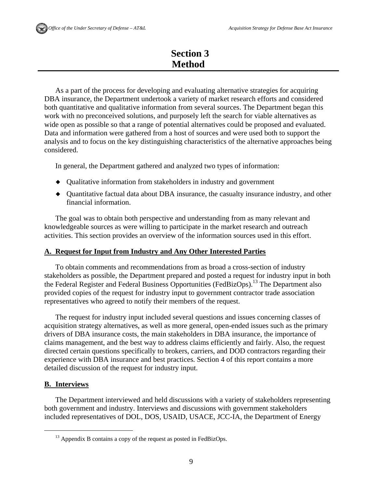### **Section 3 Method**

As a part of the process for developing and evaluating alternative strategies for acquiring DBA insurance, the Department undertook a variety of market research efforts and considered both quantitative and qualitative information from several sources. The Department began this work with no preconceived solutions, and purposely left the search for viable alternatives as wide open as possible so that a range of potential alternatives could be proposed and evaluated. Data and information were gathered from a host of sources and were used both to support the analysis and to focus on the key distinguishing characteristics of the alternative approaches being considered.

In general, the Department gathered and analyzed two types of information:

- Qualitative information from stakeholders in industry and government
- Quantitative factual data about DBA insurance, the casualty insurance industry, and other financial information.

The goal was to obtain both perspective and understanding from as many relevant and knowledgeable sources as were willing to participate in the market research and outreach activities. This section provides an overview of the information sources used in this effort.

#### **A. Request for Input from Industry and Any Other Interested Parties**

To obtain comments and recommendations from as broad a cross-section of industry stakeholders as possible, the Department prepared and posted a request for industry input in both the Federal Register and Federal Business Opportunities (FedBizOps).<sup>13</sup> The Department also provided copies of the request for industry input to government contractor trade association representatives who agreed to notify their members of the request.

The request for industry input included several questions and issues concerning classes of acquisition strategy alternatives, as well as more general, open-ended issues such as the primary drivers of DBA insurance costs, the main stakeholders in DBA insurance, the importance of claims management, and the best way to address claims efficiently and fairly. Also, the request directed certain questions specifically to brokers, carriers, and DOD contractors regarding their experience with DBA insurance and best practices. Section 4 of this report contains a more detailed discussion of the request for industry input.

#### **B. Interviews**

The Department interviewed and held discussions with a variety of stakeholders representing both government and industry. Interviews and discussions with government stakeholders included representatives of DOL, DOS, USAID, USACE, JCC-IA, the Department of Energy

 $^{13}$  Appendix B contains a copy of the request as posted in FedBizOps.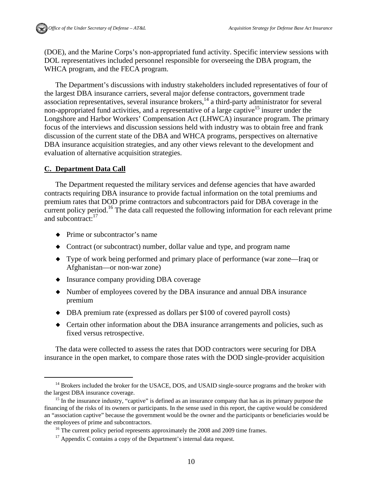(DOE), and the Marine Corps's non-appropriated fund activity. Specific interview sessions with DOL representatives included personnel responsible for overseeing the DBA program, the WHCA program, and the FECA program.

The Department's discussions with industry stakeholders included representatives of four of the largest DBA insurance carriers, several major defense contractors, government trade association representatives, several insurance brokers, $14$  a third-party administrator for several non-appropriated fund activities, and a representative of a large captive<sup>15</sup> insurer under the Longshore and Harbor Workers' Compensation Act (LHWCA) insurance program. The primary focus of the interviews and discussion sessions held with industry was to obtain free and frank discussion of the current state of the DBA and WHCA programs, perspectives on alternative DBA insurance acquisition strategies, and any other views relevant to the development and evaluation of alternative acquisition strategies.

#### **C. Department Data Call**

The Department requested the military services and defense agencies that have awarded contracts requiring DBA insurance to provide factual information on the total premiums and premium rates that DOD prime contractors and subcontractors paid for DBA coverage in the current policy period.<sup>16</sup> The data call requested the following information for each relevant prime and subcontract:<sup>17</sup>

- Prime or subcontractor's name
- Contract (or subcontract) number, dollar value and type, and program name
- Type of work being performed and primary place of performance (war zone—Iraq or Afghanistan—or non-war zone)
- Insurance company providing DBA coverage
- Number of employees covered by the DBA insurance and annual DBA insurance premium
- DBA premium rate (expressed as dollars per \$100 of covered payroll costs)
- Certain other information about the DBA insurance arrangements and policies, such as fixed versus retrospective.

The data were collected to assess the rates that DOD contractors were securing for DBA insurance in the open market, to compare those rates with the DOD single-provider acquisition

 $14$  Brokers included the broker for the USACE, DOS, and USAID single-source programs and the broker with the largest DBA insurance coverage.

<sup>&</sup>lt;sup>15</sup> In the insurance industry, "captive" is defined as an insurance company that has as its primary purpose the financing of the risks of its owners or participants. In the sense used in this report, the captive would be considered an "association captive" because the government would be the owner and the participants or beneficiaries would be the employees of prime and subcontractors.<br><sup>16</sup> The current policy period represents approximately the 2008 and 2009 time frames.

 $17$  Appendix C contains a copy of the Department's internal data request.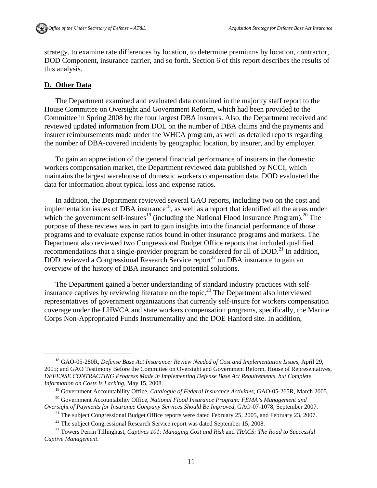strategy, to examine rate differences by location, to determine premiums by location, contractor, DOD Component, insurance carrier, and so forth. Section 6 of this report describes the results of this analysis.

#### **D. Other Data**

The Department examined and evaluated data contained in the majority staff report to the House Committee on Oversight and Government Reform, which had been provided to the Committee in Spring 2008 by the four largest DBA insurers. Also, the Department received and reviewed updated information from DOL on the number of DBA claims and the payments and insurer reimbursements made under the WHCA program, as well as detailed reports regarding the number of DBA-covered incidents by geographic location, by insurer, and by employer.

To gain an appreciation of the general financial performance of insurers in the domestic workers compensation market, the Department reviewed data published by NCCI, which maintains the largest warehouse of domestic workers compensation data. DOD evaluated the data for information about typical loss and expense ratios.

In addition, the Department reviewed several GAO reports, including two on the cost and implementation issues of DBA insurance<sup>18</sup>, as well as a report that identified all the areas under which the government self-insures<sup>19</sup> (including the National Flood Insurance Program).<sup>20</sup> The purpose of these reviews was in part to gain insights into the financial performance of those programs and to evaluate expense ratios found in other insurance programs and markets. The Department also reviewed two Congressional Budget Office reports that included qualified recommendations that a single-provider program be considered for all of  $DOD.<sup>21</sup>$  In addition, DOD reviewed a Congressional Research Service report<sup>22</sup> on DBA insurance to gain an overview of the history of DBA insurance and potential solutions.

The Department gained a better understanding of standard industry practices with selfinsurance captives by reviewing literature on the topic.23 The Department also interviewed representatives of government organizations that currently self-insure for workers compensation coverage under the LHWCA and state workers compensation programs, specifically, the Marine Corps Non-Appropriated Funds Instrumentality and the DOE Hanford site. In addition,

<sup>&</sup>lt;sup>18</sup> GAO-05-280R, *Defense Base Act Insurance: Review Needed of Cost and Implementation Issues, April 29*, 2005; and GAO Testimony Before the Committee on Oversight and Government Reform, House of Representatives, *DEFENSE CONTRACTING Progress Made in Implementing Defense Base Act Requirements, but Complete Information on Costs Is Lacking,* May 15, 2008.

<sup>&</sup>lt;sup>19</sup> Government Accountability Office, *Catalogue of Federal Insurance Activities*, GAO-05-265R, March 2005.<br><sup>20</sup> Government Accountability Office, *National Flood Insurance Program: FEMA's Management and Oversight of Paym* 

<sup>&</sup>lt;sup>21</sup> The subject Congressional Budget Office reports were dated February 25, 2005, and February 23, 2007.

<sup>&</sup>lt;sup>22</sup> The subject Congressional Research Service report was dated September 15, 2008.<br><sup>23</sup> Towers Perrin Tillinghast, *Captives 101: Managing Cost and Risk* and *TRACS: The Road to Successful Captive Management*.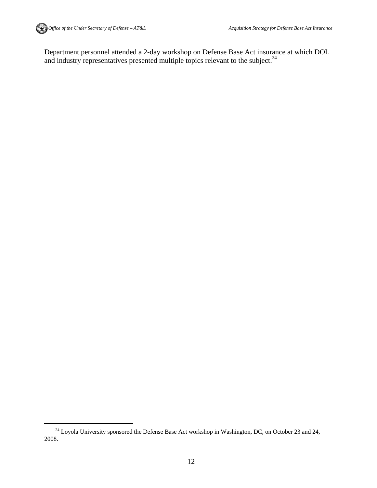

Department personnel attended a 2-day workshop on Defense Base Act insurance at which DOL and industry representatives presented multiple topics relevant to the subject.<sup>24</sup>

<sup>&</sup>lt;sup>24</sup> Loyola University sponsored the Defense Base Act workshop in Washington, DC, on October 23 and 24, 2008.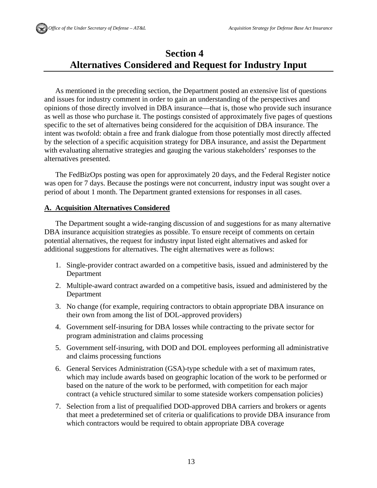### **Section 4 Alternatives Considered and Request for Industry Input**

As mentioned in the preceding section, the Department posted an extensive list of questions and issues for industry comment in order to gain an understanding of the perspectives and opinions of those directly involved in DBA insurance—that is, those who provide such insurance as well as those who purchase it. The postings consisted of approximately five pages of questions specific to the set of alternatives being considered for the acquisition of DBA insurance. The intent was twofold: obtain a free and frank dialogue from those potentially most directly affected by the selection of a specific acquisition strategy for DBA insurance, and assist the Department with evaluating alternative strategies and gauging the various stakeholders' responses to the alternatives presented.

The FedBizOps posting was open for approximately 20 days, and the Federal Register notice was open for 7 days. Because the postings were not concurrent, industry input was sought over a period of about 1 month. The Department granted extensions for responses in all cases.

#### **A. Acquisition Alternatives Considered**

The Department sought a wide-ranging discussion of and suggestions for as many alternative DBA insurance acquisition strategies as possible. To ensure receipt of comments on certain potential alternatives, the request for industry input listed eight alternatives and asked for additional suggestions for alternatives. The eight alternatives were as follows:

- 1. Single-provider contract awarded on a competitive basis, issued and administered by the Department
- 2. Multiple-award contract awarded on a competitive basis, issued and administered by the Department
- 3. No change (for example, requiring contractors to obtain appropriate DBA insurance on their own from among the list of DOL-approved providers)
- 4. Government self-insuring for DBA losses while contracting to the private sector for program administration and claims processing
- 5. Government self-insuring, with DOD and DOL employees performing all administrative and claims processing functions
- 6. General Services Administration (GSA)-type schedule with a set of maximum rates, which may include awards based on geographic location of the work to be performed or based on the nature of the work to be performed, with competition for each major contract (a vehicle structured similar to some stateside workers compensation policies)
- 7. Selection from a list of prequalified DOD-approved DBA carriers and brokers or agents that meet a predetermined set of criteria or qualifications to provide DBA insurance from which contractors would be required to obtain appropriate DBA coverage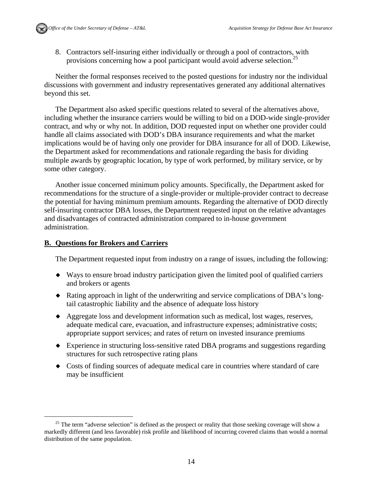8. Contractors self-insuring either individually or through a pool of contractors, with provisions concerning how a pool participant would avoid adverse selection.<sup>25</sup>

Neither the formal responses received to the posted questions for industry nor the individual discussions with government and industry representatives generated any additional alternatives beyond this set.

The Department also asked specific questions related to several of the alternatives above, including whether the insurance carriers would be willing to bid on a DOD-wide single-provider contract, and why or why not. In addition, DOD requested input on whether one provider could handle all claims associated with DOD's DBA insurance requirements and what the market implications would be of having only one provider for DBA insurance for all of DOD. Likewise, the Department asked for recommendations and rationale regarding the basis for dividing multiple awards by geographic location, by type of work performed, by military service, or by some other category.

Another issue concerned minimum policy amounts. Specifically, the Department asked for recommendations for the structure of a single-provider or multiple-provider contract to decrease the potential for having minimum premium amounts. Regarding the alternative of DOD directly self-insuring contractor DBA losses, the Department requested input on the relative advantages and disadvantages of contracted administration compared to in-house government administration.

#### **B. Questions for Brokers and Carriers**

The Department requested input from industry on a range of issues, including the following:

- Ways to ensure broad industry participation given the limited pool of qualified carriers and brokers or agents
- Rating approach in light of the underwriting and service complications of DBA's longtail catastrophic liability and the absence of adequate loss history
- Aggregate loss and development information such as medical, lost wages, reserves, adequate medical care, evacuation, and infrastructure expenses; administrative costs; appropriate support services; and rates of return on invested insurance premiums
- Experience in structuring loss-sensitive rated DBA programs and suggestions regarding structures for such retrospective rating plans
- Costs of finding sources of adequate medical care in countries where standard of care may be insufficient

<sup>&</sup>lt;sup>25</sup> The term "adverse selection" is defined as the prospect or reality that those seeking coverage will show a markedly different (and less favorable) risk profile and likelihood of incurring covered claims than would a normal distribution of the same population.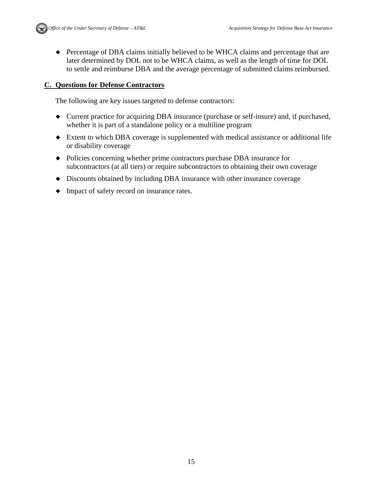Percentage of DBA claims initially believed to be WHCA claims and percentage that are later determined by DOL not to be WHCA claims, as well as the length of time for DOL to settle and reimburse DBA and the average percentage of submitted claims reimbursed.

#### **C. Questions for Defense Contractors**

The following are key issues targeted to defense contractors:

- Current practice for acquiring DBA insurance (purchase or self-insure) and, if purchased, whether it is part of a standalone policy or a multiline program
- Extent to which DBA coverage is supplemented with medical assistance or additional life or disability coverage
- Policies concerning whether prime contractors purchase DBA insurance for subcontractors (at all tiers) or require subcontractors to obtaining their own coverage
- Discounts obtained by including DBA insurance with other insurance coverage
- Impact of safety record on insurance rates.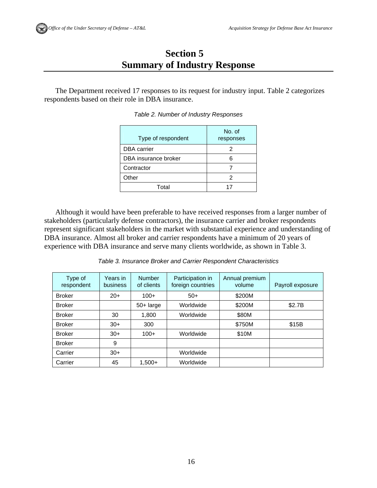### **Section 5 Summary of Industry Response**

The Department received 17 responses to its request for industry input. Table 2 categorizes respondents based on their role in DBA insurance.

| Type of respondent   | No. of<br>responses |
|----------------------|---------------------|
| <b>DBA</b> carrier   | 2                   |
| DBA insurance broker | 6                   |
| Contractor           |                     |
| Other                | 2                   |
| Total                | 17                  |

*Table 2. Number of Industry Responses* 

Although it would have been preferable to have received responses from a larger number of stakeholders (particularly defense contractors), the insurance carrier and broker respondents represent significant stakeholders in the market with substantial experience and understanding of DBA insurance. Almost all broker and carrier respondents have a minimum of 20 years of experience with DBA insurance and serve many clients worldwide, as shown in Table 3.

*Table 3. Insurance Broker and Carrier Respondent Characteristics* 

| Type of<br>respondent | Years in<br><b>business</b> | <b>Number</b><br>of clients | Participation in<br>foreign countries | Annual premium<br>volume | Payroll exposure |
|-----------------------|-----------------------------|-----------------------------|---------------------------------------|--------------------------|------------------|
| <b>Broker</b>         | $20+$                       | $100+$                      | $50+$                                 | \$200M                   |                  |
| <b>Broker</b>         |                             | $50+$ large                 | Worldwide                             | \$200M                   | \$2.7B           |
| <b>Broker</b>         | 30                          | 1,800                       | Worldwide                             | \$80M                    |                  |
| <b>Broker</b>         | $30+$                       | 300                         |                                       | \$750M                   | \$15B            |
| <b>Broker</b>         | $30+$                       | $100+$                      | Worldwide                             | \$10M                    |                  |
| <b>Broker</b>         | 9                           |                             |                                       |                          |                  |
| Carrier               | $30+$                       |                             | Worldwide                             |                          |                  |
| Carrier               | 45                          | $1,500+$                    | Worldwide                             |                          |                  |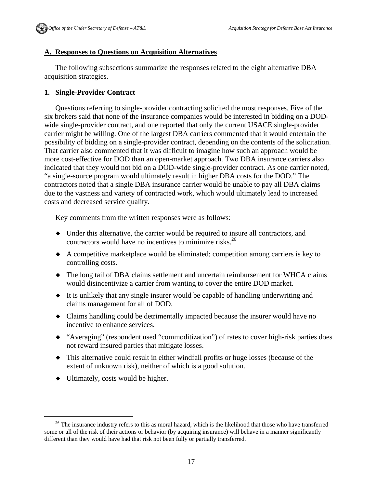#### **A. Responses to Questions on Acquisition Alternatives**

The following subsections summarize the responses related to the eight alternative DBA acquisition strategies.

#### **1. Single-Provider Contract**

Questions referring to single-provider contracting solicited the most responses. Five of the six brokers said that none of the insurance companies would be interested in bidding on a DODwide single-provider contract, and one reported that only the current USACE single-provider carrier might be willing. One of the largest DBA carriers commented that it would entertain the possibility of bidding on a single-provider contract, depending on the contents of the solicitation. That carrier also commented that it was difficult to imagine how such an approach would be more cost-effective for DOD than an open-market approach. Two DBA insurance carriers also indicated that they would not bid on a DOD-wide single-provider contract. As one carrier noted, "a single-source program would ultimately result in higher DBA costs for the DOD." The contractors noted that a single DBA insurance carrier would be unable to pay all DBA claims due to the vastness and variety of contracted work, which would ultimately lead to increased costs and decreased service quality.

Key comments from the written responses were as follows:

- Under this alternative, the carrier would be required to insure all contractors, and contractors would have no incentives to minimize risks.<sup>26</sup>
- A competitive marketplace would be eliminated; competition among carriers is key to controlling costs.
- The long tail of DBA claims settlement and uncertain reimbursement for WHCA claims would disincentivize a carrier from wanting to cover the entire DOD market.
- It is unlikely that any single insurer would be capable of handling underwriting and claims management for all of DOD.
- Claims handling could be detrimentally impacted because the insurer would have no incentive to enhance services.
- "Averaging" (respondent used "commoditization") of rates to cover high-risk parties does not reward insured parties that mitigate losses.
- This alternative could result in either windfall profits or huge losses (because of the extent of unknown risk), neither of which is a good solution.
- $\bullet$  Ultimately, costs would be higher.

<sup>&</sup>lt;sup>26</sup> The insurance industry refers to this as moral hazard, which is the likelihood that those who have transferred some or all of the risk of their actions or behavior (by acquiring insurance) will behave in a manner significantly different than they would have had that risk not been fully or partially transferred.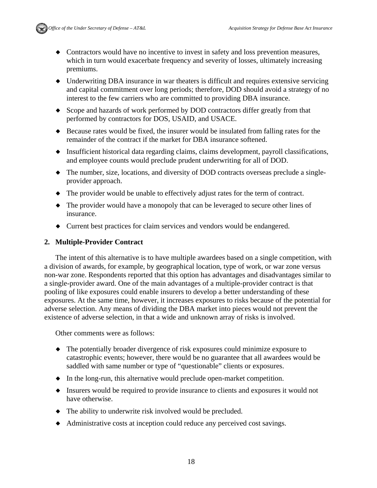

- Contractors would have no incentive to invest in safety and loss prevention measures, which in turn would exacerbate frequency and severity of losses, ultimately increasing premiums.
- Underwriting DBA insurance in war theaters is difficult and requires extensive servicing and capital commitment over long periods; therefore, DOD should avoid a strategy of no interest to the few carriers who are committed to providing DBA insurance.
- Scope and hazards of work performed by DOD contractors differ greatly from that performed by contractors for DOS, USAID, and USACE.
- Because rates would be fixed, the insurer would be insulated from falling rates for the remainder of the contract if the market for DBA insurance softened.
- Insufficient historical data regarding claims, claims development, payroll classifications, and employee counts would preclude prudent underwriting for all of DOD.
- The number, size, locations, and diversity of DOD contracts overseas preclude a singleprovider approach.
- The provider would be unable to effectively adjust rates for the term of contract.
- The provider would have a monopoly that can be leveraged to secure other lines of insurance.
- Current best practices for claim services and vendors would be endangered.

#### **2. Multiple-Provider Contract**

The intent of this alternative is to have multiple awardees based on a single competition, with a division of awards, for example, by geographical location, type of work, or war zone versus non-war zone. Respondents reported that this option has advantages and disadvantages similar to a single-provider award. One of the main advantages of a multiple-provider contract is that pooling of like exposures could enable insurers to develop a better understanding of these exposures. At the same time, however, it increases exposures to risks because of the potential for adverse selection. Any means of dividing the DBA market into pieces would not prevent the existence of adverse selection, in that a wide and unknown array of risks is involved.

Other comments were as follows:

- The potentially broader divergence of risk exposures could minimize exposure to catastrophic events; however, there would be no guarantee that all awardees would be saddled with same number or type of "questionable" clients or exposures.
- $\bullet$  In the long-run, this alternative would preclude open-market competition.
- Insurers would be required to provide insurance to clients and exposures it would not have otherwise.
- The ability to underwrite risk involved would be precluded.
- Administrative costs at inception could reduce any perceived cost savings.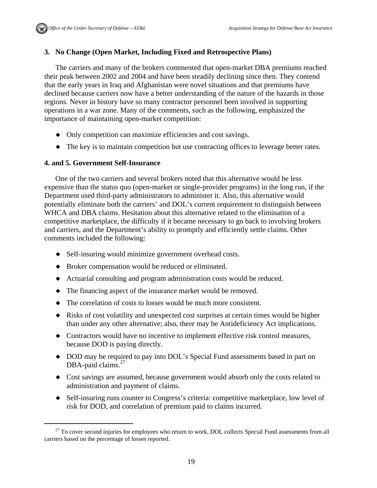#### **3. No Change (Open Market, Including Fixed and Retrospective Plans)**

The carriers and many of the brokers commented that open-market DBA premiums reached their peak between 2002 and 2004 and have been steadily declining since then. They contend that the early years in Iraq and Afghanistan were novel situations and that premiums have declined because carriers now have a better understanding of the nature of the hazards in those regions. Never in history have so many contractor personnel been involved in supporting operations in a war zone. Many of the comments, such as the following, emphasized the importance of maintaining open-market competition:

- Only competition can maximize efficiencies and cost savings.
- The key is to maintain competition but use contracting offices to leverage better rates.

#### **4. and 5. Government Self-Insurance**

One of the two carriers and several brokers noted that this alternative would be less expensive than the status quo (open-market or single-provider programs) in the long run, if the Department used third-party administrators to administer it. Also, this alternative would potentially eliminate both the carriers' and DOL's current requirement to distinguish between WHCA and DBA claims. Hesitation about this alternative related to the elimination of a competitive marketplace, the difficulty if it became necessary to go back to involving brokers and carriers, and the Department's ability to promptly and efficiently settle claims. Other comments included the following:

- Self-insuring would minimize government overhead costs.
- Broker compensation would be reduced or eliminated.
- Actuarial consulting and program administration costs would be reduced.
- The financing aspect of the insurance market would be removed.
- The correlation of costs to losses would be much more consistent.
- Risks of cost volatility and unexpected cost surprises at certain times would be higher than under any other alternative; also, there may be Antideficiency Act implications.
- Contractors would have no incentive to implement effective risk control measures, because DOD is paying directly.
- DOD may be required to pay into DOL's Special Fund assessments based in part on DBA-paid claims.<sup>27</sup>
- Cost savings are assumed, because government would absorb only the costs related to administration and payment of claims.
- Self-insuring runs counter to Congress's criteria: competitive marketplace, low level of risk for DOD, and correlation of premium paid to claims incurred.

<sup>&</sup>lt;sup>27</sup> To cover second injuries for employees who return to work, DOL collects Special Fund assessments from all carriers based on the percentage of losses reported.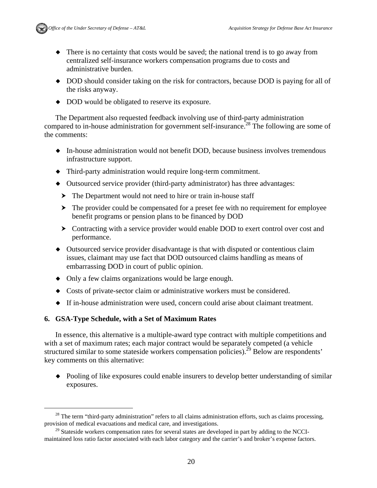- There is no certainty that costs would be saved; the national trend is to go away from centralized self-insurance workers compensation programs due to costs and administrative burden.
- DOD should consider taking on the risk for contractors, because DOD is paying for all of the risks anyway.
- DOD would be obligated to reserve its exposure.

The Department also requested feedback involving use of third-party administration compared to in-house administration for government self-insurance.<sup>28</sup> The following are some of the comments:

- In-house administration would not benefit DOD, because business involves tremendous infrastructure support.
- Third-party administration would require long-term commitment.
- Outsourced service provider (third-party administrator) has three advantages:
	- ▶ The Department would not need to hire or train in-house staff
	- $\blacktriangleright$  The provider could be compensated for a preset fee with no requirement for employee benefit programs or pension plans to be financed by DOD
	- Contracting with a service provider would enable DOD to exert control over cost and performance.
- Outsourced service provider disadvantage is that with disputed or contentious claim issues, claimant may use fact that DOD outsourced claims handling as means of embarrassing DOD in court of public opinion.
- Only a few claims organizations would be large enough.
- Costs of private-sector claim or administrative workers must be considered.
- If in-house administration were used, concern could arise about claimant treatment.

### **6. GSA-Type Schedule, with a Set of Maximum Rates**

In essence, this alternative is a multiple-award type contract with multiple competitions and with a set of maximum rates; each major contract would be separately competed (a vehicle structured similar to some stateside workers compensation policies).<sup>29</sup> Below are respondents' key comments on this alternative:

 Pooling of like exposures could enable insurers to develop better understanding of similar exposures.

<sup>&</sup>lt;sup>28</sup> The term "third-party administration" refers to all claims administration efforts, such as claims processing, provision of medical evacuations and medical care, and investigations.

<sup>&</sup>lt;sup>29</sup> Stateside workers compensation rates for several states are developed in part by adding to the NCCImaintained loss ratio factor associated with each labor category and the carrier's and broker's expense factors.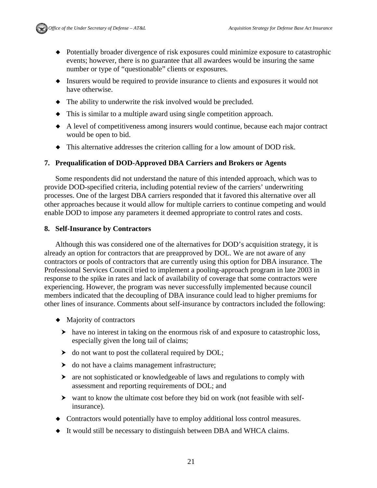

- Potentially broader divergence of risk exposures could minimize exposure to catastrophic events; however, there is no guarantee that all awardees would be insuring the same number or type of "questionable" clients or exposures.
- Insurers would be required to provide insurance to clients and exposures it would not have otherwise.
- The ability to underwrite the risk involved would be precluded.
- This is similar to a multiple award using single competition approach.
- A level of competitiveness among insurers would continue, because each major contract would be open to bid.
- This alternative addresses the criterion calling for a low amount of DOD risk.

#### **7. Prequalification of DOD-Approved DBA Carriers and Brokers or Agents**

Some respondents did not understand the nature of this intended approach, which was to provide DOD-specified criteria, including potential review of the carriers' underwriting processes. One of the largest DBA carriers responded that it favored this alternative over all other approaches because it would allow for multiple carriers to continue competing and would enable DOD to impose any parameters it deemed appropriate to control rates and costs.

#### **8. Self-Insurance by Contractors**

Although this was considered one of the alternatives for DOD's acquisition strategy, it is already an option for contractors that are preapproved by DOL. We are not aware of any contractors or pools of contractors that are currently using this option for DBA insurance. The Professional Services Council tried to implement a pooling-approach program in late 2003 in response to the spike in rates and lack of availability of coverage that some contractors were experiencing. However, the program was never successfully implemented because council members indicated that the decoupling of DBA insurance could lead to higher premiums for other lines of insurance. Comments about self-insurance by contractors included the following:

- Majority of contractors
	- have no interest in taking on the enormous risk of and exposure to catastrophic loss, especially given the long tail of claims;
	- $\triangleright$  do not want to post the collateral required by DOL;
	- $\blacktriangleright$  do not have a claims management infrastructure;
	- are not sophisticated or knowledgeable of laws and regulations to comply with assessment and reporting requirements of DOL; and
	- want to know the ultimate cost before they bid on work (not feasible with selfinsurance).
- Contractors would potentially have to employ additional loss control measures.
- It would still be necessary to distinguish between DBA and WHCA claims.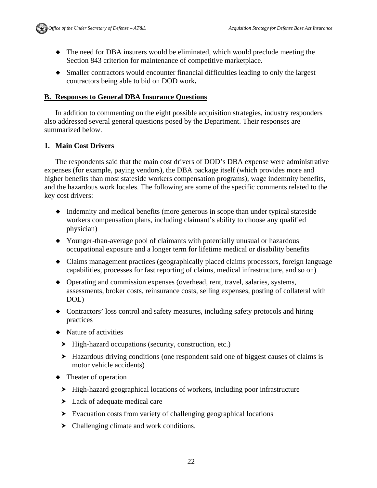

- The need for DBA insurers would be eliminated, which would preclude meeting the Section 843 criterion for maintenance of competitive marketplace.
- Smaller contractors would encounter financial difficulties leading to only the largest contractors being able to bid on DOD work**.**

#### **B. Responses to General DBA Insurance Questions**

In addition to commenting on the eight possible acquisition strategies, industry responders also addressed several general questions posed by the Department. Their responses are summarized below.

#### **1. Main Cost Drivers**

The respondents said that the main cost drivers of DOD's DBA expense were administrative expenses (for example, paying vendors), the DBA package itself (which provides more and higher benefits than most stateside workers compensation programs), wage indemnity benefits, and the hazardous work locales. The following are some of the specific comments related to the key cost drivers:

- Indemnity and medical benefits (more generous in scope than under typical stateside workers compensation plans, including claimant's ability to choose any qualified physician)
- Younger-than-average pool of claimants with potentially unusual or hazardous occupational exposure and a longer term for lifetime medical or disability benefits
- Claims management practices (geographically placed claims processors, foreign language capabilities, processes for fast reporting of claims, medical infrastructure, and so on)
- Operating and commission expenses (overhead, rent, travel, salaries, systems, assessments, broker costs, reinsurance costs, selling expenses, posting of collateral with DOL)
- Contractors' loss control and safety measures, including safety protocols and hiring practices
- Nature of activities
	- $\blacktriangleright$  High-hazard occupations (security, construction, etc.)
	- Hazardous driving conditions (one respondent said one of biggest causes of claims is motor vehicle accidents)
- Theater of operation
	- High-hazard geographical locations of workers, including poor infrastructure
	- $\blacktriangleright$  Lack of adequate medical care
	- Evacuation costs from variety of challenging geographical locations
	- Challenging climate and work conditions.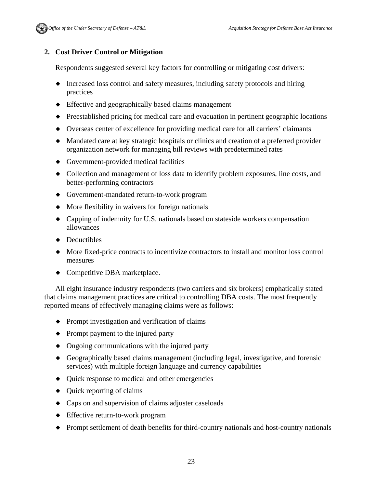

### **2. Cost Driver Control or Mitigation**

Respondents suggested several key factors for controlling or mitigating cost drivers:

- Increased loss control and safety measures, including safety protocols and hiring practices
- Effective and geographically based claims management
- Preestablished pricing for medical care and evacuation in pertinent geographic locations
- Overseas center of excellence for providing medical care for all carriers' claimants
- Mandated care at key strategic hospitals or clinics and creation of a preferred provider organization network for managing bill reviews with predetermined rates
- Government-provided medical facilities
- Collection and management of loss data to identify problem exposures, line costs, and better-performing contractors
- Government-mandated return-to-work program
- $\blacklozenge$  More flexibility in waivers for foreign nationals
- Capping of indemnity for U.S. nationals based on stateside workers compensation allowances
- Deductibles
- More fixed-price contracts to incentivize contractors to install and monitor loss control measures
- Competitive DBA marketplace.

All eight insurance industry respondents (two carriers and six brokers) emphatically stated that claims management practices are critical to controlling DBA costs. The most frequently reported means of effectively managing claims were as follows:

- Prompt investigation and verification of claims
- $\bullet$  Prompt payment to the injured party
- Ongoing communications with the injured party
- Geographically based claims management (including legal, investigative, and forensic services) with multiple foreign language and currency capabilities
- Quick response to medical and other emergencies
- Quick reporting of claims
- Caps on and supervision of claims adjuster caseloads
- Effective return-to-work program
- Prompt settlement of death benefits for third-country nationals and host-country nationals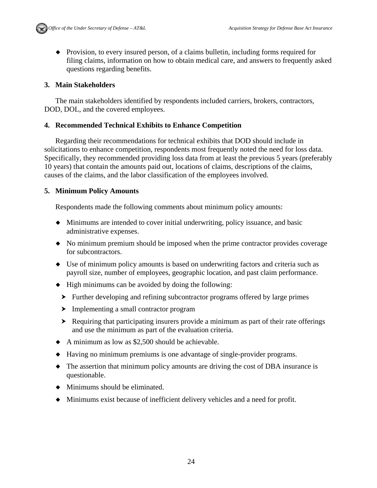Provision, to every insured person, of a claims bulletin, including forms required for filing claims, information on how to obtain medical care, and answers to frequently asked questions regarding benefits.

#### **3. Main Stakeholders**

The main stakeholders identified by respondents included carriers, brokers, contractors, DOD, DOL, and the covered employees.

#### **4. Recommended Technical Exhibits to Enhance Competition**

Regarding their recommendations for technical exhibits that DOD should include in solicitations to enhance competition, respondents most frequently noted the need for loss data. Specifically, they recommended providing loss data from at least the previous 5 years (preferably 10 years) that contain the amounts paid out, locations of claims, descriptions of the claims, causes of the claims, and the labor classification of the employees involved.

#### **5. Minimum Policy Amounts**

Respondents made the following comments about minimum policy amounts:

- Minimums are intended to cover initial underwriting, policy issuance, and basic administrative expenses.
- No minimum premium should be imposed when the prime contractor provides coverage for subcontractors.
- Use of minimum policy amounts is based on underwriting factors and criteria such as payroll size, number of employees, geographic location, and past claim performance.
- $\blacklozenge$  High minimums can be avoided by doing the following:
	- Further developing and refining subcontractor programs offered by large primes
	- Implementing a small contractor program
	- Requiring that participating insurers provide a minimum as part of their rate offerings and use the minimum as part of the evaluation criteria.
- A minimum as low as \$2,500 should be achievable.
- Having no minimum premiums is one advantage of single-provider programs.
- The assertion that minimum policy amounts are driving the cost of DBA insurance is questionable.
- $\blacklozenge$  Minimums should be eliminated.
- Minimums exist because of inefficient delivery vehicles and a need for profit.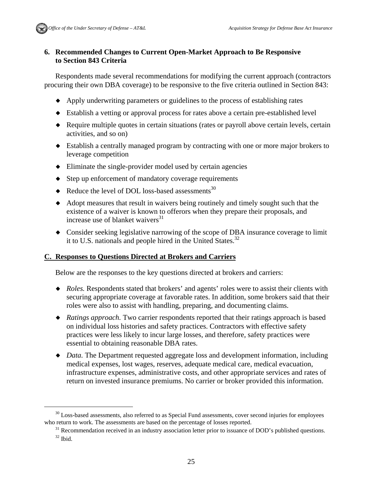#### **6. Recommended Changes to Current Open-Market Approach to Be Responsive to Section 843 Criteria**

Respondents made several recommendations for modifying the current approach (contractors procuring their own DBA coverage) to be responsive to the five criteria outlined in Section 843:

- Apply underwriting parameters or guidelines to the process of establishing rates
- Establish a vetting or approval process for rates above a certain pre-established level
- Require multiple quotes in certain situations (rates or payroll above certain levels, certain activities, and so on)
- Establish a centrally managed program by contracting with one or more major brokers to leverage competition
- $\bullet$  Eliminate the single-provider model used by certain agencies
- $\bullet$  Step up enforcement of mandatory coverage requirements
- $\triangleleft$  Reduce the level of DOL loss-based assessments<sup>30</sup>
- Adopt measures that result in waivers being routinely and timely sought such that the existence of a waiver is known to offerors when they prepare their proposals, and increase use of blanket waivers<sup>31</sup>
- Consider seeking legislative narrowing of the scope of DBA insurance coverage to limit it to U.S. nationals and people hired in the United States.<sup>32</sup>

#### **C. Responses to Questions Directed at Brokers and Carriers**

Below are the responses to the key questions directed at brokers and carriers:

- *Roles.* Respondents stated that brokers' and agents' roles were to assist their clients with securing appropriate coverage at favorable rates. In addition, some brokers said that their roles were also to assist with handling, preparing, and documenting claims.
- *Ratings approach.* Two carrier respondents reported that their ratings approach is based on individual loss histories and safety practices. Contractors with effective safety practices were less likely to incur large losses, and therefore, safety practices were essential to obtaining reasonable DBA rates.
- ◆ *Data*. The Department requested aggregate loss and development information, including medical expenses, lost wages, reserves, adequate medical care, medical evacuation, infrastructure expenses, administrative costs, and other appropriate services and rates of return on invested insurance premiums. No carrier or broker provided this information.

 $30$  Loss-based assessments, also referred to as Special Fund assessments, cover second injuries for employees

who return to work. The assessments are based on the percentage of losses reported.<br><sup>31</sup> Recommendation received in an industry association letter prior to issuance of DOD's published questions.<br><sup>32</sup> Ibid.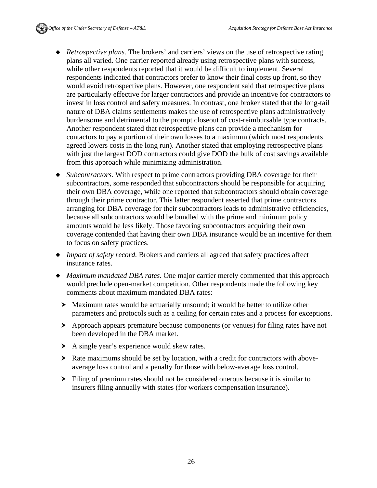- *Retrospective plans.* The brokers' and carriers' views on the use of retrospective rating plans all varied. One carrier reported already using retrospective plans with success, while other respondents reported that it would be difficult to implement. Several respondents indicated that contractors prefer to know their final costs up front, so they would avoid retrospective plans. However, one respondent said that retrospective plans are particularly effective for larger contractors and provide an incentive for contractors to invest in loss control and safety measures. In contrast, one broker stated that the long-tail nature of DBA claims settlements makes the use of retrospective plans administratively burdensome and detrimental to the prompt closeout of cost-reimbursable type contracts. Another respondent stated that retrospective plans can provide a mechanism for contactors to pay a portion of their own losses to a maximum (which most respondents agreed lowers costs in the long run). Another stated that employing retrospective plans with just the largest DOD contractors could give DOD the bulk of cost savings available from this approach while minimizing administration.
- *Subcontractors.* With respect to prime contractors providing DBA coverage for their subcontractors, some responded that subcontractors should be responsible for acquiring their own DBA coverage, while one reported that subcontractors should obtain coverage through their prime contractor. This latter respondent asserted that prime contractors arranging for DBA coverage for their subcontractors leads to administrative efficiencies, because all subcontractors would be bundled with the prime and minimum policy amounts would be less likely. Those favoring subcontractors acquiring their own coverage contended that having their own DBA insurance would be an incentive for them to focus on safety practices.
- *Impact of safety record.* Brokers and carriers all agreed that safety practices affect insurance rates.
- *Maximum mandated DBA rates.* One major carrier merely commented that this approach would preclude open-market competition. Other respondents made the following key comments about maximum mandated DBA rates:
	- Maximum rates would be actuarially unsound; it would be better to utilize other parameters and protocols such as a ceiling for certain rates and a process for exceptions.
	- Approach appears premature because components (or venues) for filing rates have not been developed in the DBA market.
	- A single year's experience would skew rates.
	- $\blacktriangleright$  Rate maximums should be set by location, with a credit for contractors with aboveaverage loss control and a penalty for those with below-average loss control.
	- Filing of premium rates should not be considered onerous because it is similar to insurers filing annually with states (for workers compensation insurance).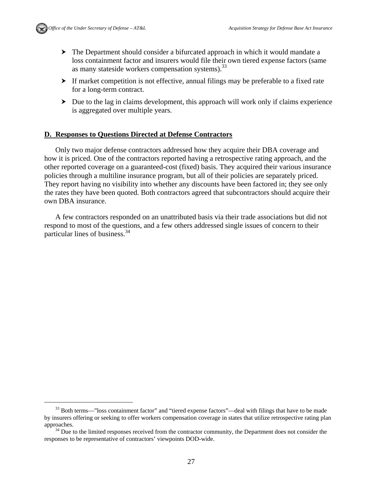

- The Department should consider a bifurcated approach in which it would mandate a loss containment factor and insurers would file their own tiered expense factors (same as many stateside workers compensation systems).<sup>33</sup>
- If market competition is not effective, annual filings may be preferable to a fixed rate for a long-term contract.
- $\triangleright$  Due to the lag in claims development, this approach will work only if claims experience is aggregated over multiple years.

## **D. Responses to Questions Directed at Defense Contractors**

Only two major defense contractors addressed how they acquire their DBA coverage and how it is priced. One of the contractors reported having a retrospective rating approach, and the other reported coverage on a guaranteed-cost (fixed) basis. They acquired their various insurance policies through a multiline insurance program, but all of their policies are separately priced. They report having no visibility into whether any discounts have been factored in; they see only the rates they have been quoted. Both contractors agreed that subcontractors should acquire their own DBA insurance.

A few contractors responded on an unattributed basis via their trade associations but did not respond to most of the questions, and a few others addressed single issues of concern to their particular lines of business.34

<sup>&</sup>lt;sup>33</sup> Both terms—"loss containment factor" and "tiered expense factors"—deal with filings that have to be made by insurers offering or seeking to offer workers compensation coverage in states that utilize retrospective rating plan approaches.<br><sup>34</sup> Due to the limited responses received from the contractor community, the Department does not consider the

responses to be representative of contractors' viewpoints DOD-wide.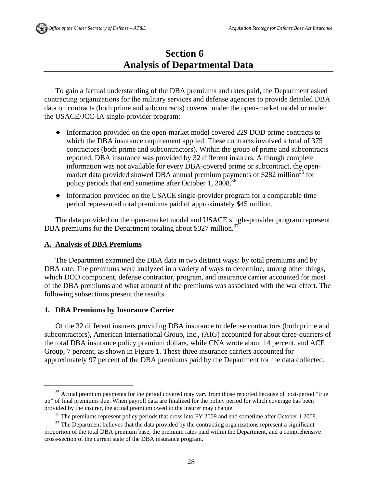# **Section 6 Analysis of Departmental Data**

To gain a factual understanding of the DBA premiums and rates paid, the Department asked contracting organizations for the military services and defense agencies to provide detailed DBA data on contracts (both prime and subcontracts) covered under the open-market model or under the USACE/JCC-IA single-provider program:

- Information provided on the open-market model covered 229 DOD prime contracts to which the DBA insurance requirement applied. These contracts involved a total of 375 contractors (both prime and subcontractors). Within the group of prime and subcontracts reported, DBA insurance was provided by 32 different insurers. Although complete information was not available for every DBA-covered prime or subcontract, the openmarket data provided showed DBA annual premium payments of \$282 million<sup>35</sup> for policy periods that end sometime after October 1, 2008.<sup>36</sup>
- $\bullet$  Information provided on the USACE single-provider program for a comparable time period represented total premiums paid of approximately \$45 million.

The data provided on the open-market model and USACE single-provider program represent DBA premiums for the Department totaling about \$327 million.<sup>37</sup>

#### **A. Analysis of DBA Premiums**

The Department examined the DBA data in two distinct ways: by total premiums and by DBA rate. The premiums were analyzed in a variety of ways to determine, among other things, which DOD component, defense contractor, program, and insurance carrier accounted for most of the DBA premiums and what amount of the premiums was associated with the war effort. The following subsections present the results.

#### **1. DBA Premiums by Insurance Carrier**

Of the 32 different insurers providing DBA insurance to defense contractors (both prime and subcontractors), American International Group, Inc., (AIG) accounted for about three-quarters of the total DBA insurance policy premium dollars, while CNA wrote about 14 percent, and ACE Group, 7 percent, as shown in Figure 1. These three insurance carriers accounted for approximately 97 percent of the DBA premiums paid by the Department for the data collected.

<sup>&</sup>lt;sup>35</sup> Actual premium payments for the period covered may vary from those reported because of post-period "true" up" of final premiums due. When payroll data are finalized for the policy period for which coverage has been

provided by the insurer, the actual premium owed to the insurer may change.<br><sup>36</sup> The premiums represent policy periods that cross into FY 2009 and end sometime after October 1 2008.

 $37$  The Department believes that the data provided by the contracting organizations represent a significant proportion of the total DBA premium base, the premium rates paid within the Department, and a comprehensive cross-section of the current state of the DBA insurance program.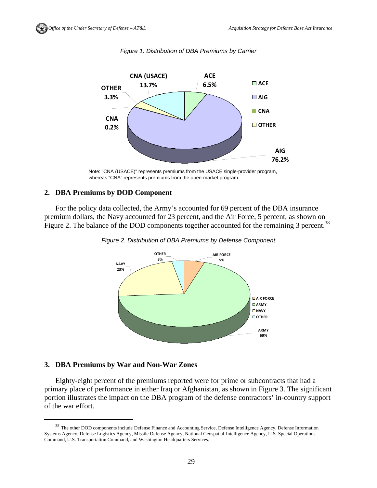

*Figure 1. Distribution of DBA Premiums by Carrier* 

#### **2. DBA Premiums by DOD Component**

For the policy data collected, the Army's accounted for 69 percent of the DBA insurance premium dollars, the Navy accounted for 23 percent, and the Air Force, 5 percent, as shown on Figure 2. The balance of the DOD components together accounted for the remaining 3 percent.<sup>38</sup>





#### **3. DBA Premiums by War and Non-War Zones**

Eighty-eight percent of the premiums reported were for prime or subcontracts that had a primary place of performance in either Iraq or Afghanistan, as shown in Figure 3. The significant portion illustrates the impact on the DBA program of the defense contractors' in-country support of the war effort.

Note: "CNA (USACE)" represents premiums from the USACE single-provider program, whereas "CNA" represents premiums from the open-market program.

<sup>&</sup>lt;sup>38</sup> The other DOD components include Defense Finance and Accounting Service, Defense Intelligence Agency, Defense Information Systems Agency, Defense Logistics Agency, Missile Defense Agency, National Geospatial-Intelligence Agency, U.S. Special Operations Command, U.S. Transportation Command, and Washington Headquarters Services.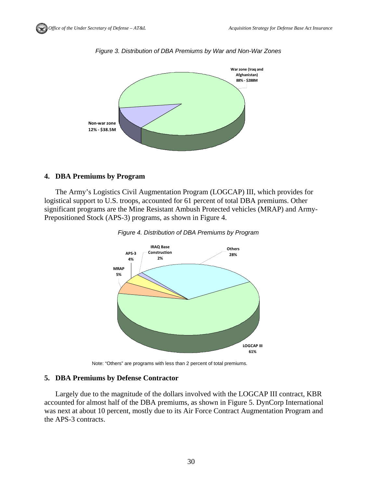

*Figure 3. Distribution of DBA Premiums by War and Non-War Zones* 

## **4. DBA Premiums by Program**

The Army's Logistics Civil Augmentation Program (LOGCAP) III, which provides for logistical support to U.S. troops, accounted for 61 percent of total DBA premiums. Other significant programs are the Mine Resistant Ambush Protected vehicles (MRAP) and Army-Prepositioned Stock (APS-3) programs, as shown in Figure 4.





Note: "Others" are programs with less than 2 percent of total premiums.

## **5. DBA Premiums by Defense Contractor**

Largely due to the magnitude of the dollars involved with the LOGCAP III contract, KBR accounted for almost half of the DBA premiums, as shown in Figure 5. DynCorp International was next at about 10 percent, mostly due to its Air Force Contract Augmentation Program and the APS-3 contracts.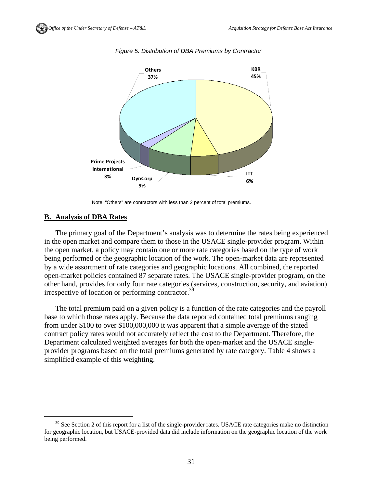

*Figure 5. Distribution of DBA Premiums by Contractor* 

#### **B. Analysis of DBA Rates**

The primary goal of the Department's analysis was to determine the rates being experienced in the open market and compare them to those in the USACE single-provider program. Within the open market, a policy may contain one or more rate categories based on the type of work being performed or the geographic location of the work. The open-market data are represented by a wide assortment of rate categories and geographic locations. All combined, the reported open-market policies contained 87 separate rates. The USACE single-provider program, on the other hand, provides for only four rate categories (services, construction, security, and aviation) irrespective of location or performing contractor.<sup>39</sup>

The total premium paid on a given policy is a function of the rate categories and the payroll base to which those rates apply. Because the data reported contained total premiums ranging from under \$100 to over \$100,000,000 it was apparent that a simple average of the stated contract policy rates would not accurately reflect the cost to the Department. Therefore, the Department calculated weighted averages for both the open-market and the USACE singleprovider programs based on the total premiums generated by rate category. Table 4 shows a simplified example of this weighting.

Note: "Others" are contractors with less than 2 percent of total premiums.

 $39$  See Section 2 of this report for a list of the single-provider rates. USACE rate categories make no distinction for geographic location, but USACE-provided data did include information on the geographic location of the work being performed.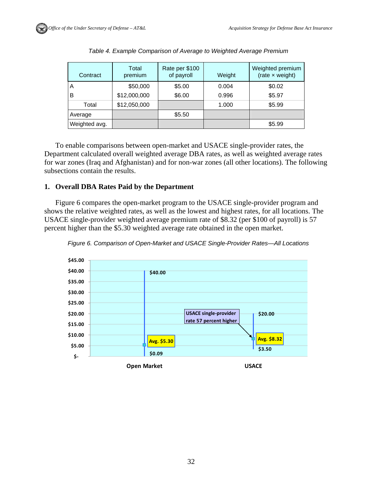| Contract       | Total<br>premium | Rate per \$100<br>of payroll | Weight | Weighted premium<br>$(rate \times weight)$ |
|----------------|------------------|------------------------------|--------|--------------------------------------------|
| $\overline{A}$ | \$50,000         | \$5.00                       | 0.004  | \$0.02                                     |
| B              | \$12,000,000     | \$6.00                       | 0.996  | \$5.97                                     |
| Total          | \$12,050,000     |                              | 1.000  | \$5.99                                     |
| Average        |                  | \$5.50                       |        |                                            |
| Weighted avg.  |                  |                              |        | \$5.99                                     |

|  | Table 4. Example Comparison of Average to Weighted Average Premium |  |  |
|--|--------------------------------------------------------------------|--|--|
|  |                                                                    |  |  |
|  |                                                                    |  |  |

To enable comparisons between open-market and USACE single-provider rates, the Department calculated overall weighted average DBA rates, as well as weighted average rates for war zones (Iraq and Afghanistan) and for non-war zones (all other locations). The following subsections contain the results.

#### **1. Overall DBA Rates Paid by the Department**

Figure 6 compares the open-market program to the USACE single-provider program and shows the relative weighted rates, as well as the lowest and highest rates, for all locations. The USACE single-provider weighted average premium rate of \$8.32 (per \$100 of payroll) is 57 percent higher than the \$5.30 weighted average rate obtained in the open market.



*Figure 6. Comparison of Open-Market and USACE Single-Provider Rates—All Locations*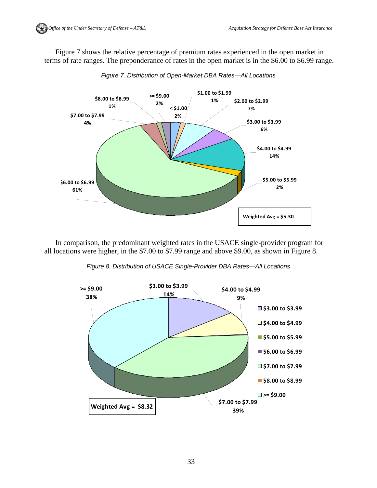Figure 7 shows the relative percentage of premium rates experienced in the open market in terms of rate ranges. The preponderance of rates in the open market is in the \$6.00 to \$6.99 range.



*Figure 7. Distribution of Open-Market DBA Rates—All Locations* 

In comparison, the predominant weighted rates in the USACE single-provider program for all locations were higher, in the \$7.00 to \$7.99 range and above \$9.00, as shown in Figure 8.

*Figure 8. Distribution of USACE Single-Provider DBA Rates—All Locations* 

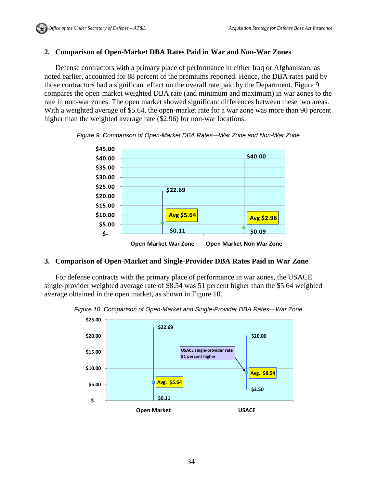## **2. Comparison of Open-Market DBA Rates Paid in War and Non-War Zones**

Defense contractors with a primary place of performance in either Iraq or Afghanistan, as noted earlier, accounted for 88 percent of the premiums reported. Hence, the DBA rates paid by those contractors had a significant effect on the overall rate paid by the Department. Figure 9 compares the open-market weighted DBA rate (and minimum and maximum) in war zones to the rate in non-war zones. The open market showed significant differences between these two areas. With a weighted average of \$5.64, the open-market rate for a war zone was more than 90 percent higher than the weighted average rate (\$2.96) for non-war locations.



*Figure 9. Comparison of Open-Market DBA Rates—War Zone and Non-War Zone* 

## **3. Comparison of Open-Market and Single-Provider DBA Rates Paid in War Zone**

For defense contracts with the primary place of performance in war zones, the USACE single-provider weighted average rate of \$8.54 was 51 percent higher than the \$5.64 weighted average obtained in the open market, as shown in Figure 10.

*Figure 10. Comparison of Open-Market and Single-Provider DBA Rates—War Zone* 

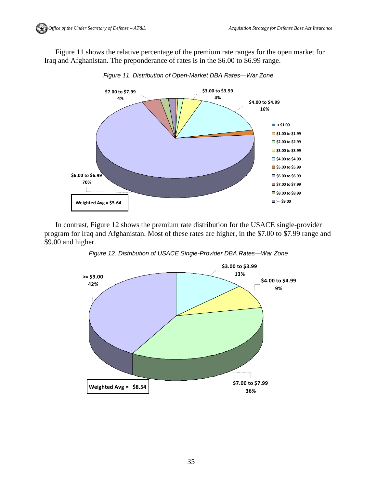Figure 11 shows the relative percentage of the premium rate ranges for the open market for Iraq and Afghanistan. The preponderance of rates is in the \$6.00 to \$6.99 range.



*Figure 11. Distribution of Open-Market DBA Rates—War Zone* 

In contrast, Figure 12 shows the premium rate distribution for the USACE single-provider program for Iraq and Afghanistan. Most of these rates are higher, in the \$7.00 to \$7.99 range and \$9.00 and higher.

*Figure 12. Distribution of USACE Single-Provider DBA Rates—War Zone* 

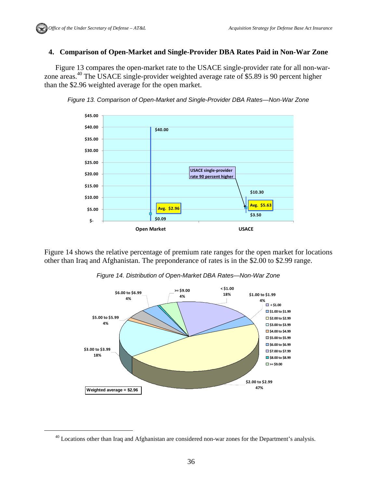## **4. Comparison of Open-Market and Single-Provider DBA Rates Paid in Non-War Zone**

Figure 13 compares the open-market rate to the USACE single-provider rate for all non-warzone areas.40 The USACE single-provider weighted average rate of \$5.89 is 90 percent higher than the \$2.96 weighted average for the open market.



*Figure 13. Comparison of Open-Market and Single-Provider DBA Rates—Non-War Zone* 

Figure 14 shows the relative percentage of premium rate ranges for the open market for locations other than Iraq and Afghanistan. The preponderance of rates is in the \$2.00 to \$2.99 range.

*Figure 14. Distribution of Open-Market DBA Rates—Non-War Zone* 



 $40$  Locations other than Iraq and Afghanistan are considered non-war zones for the Department's analysis.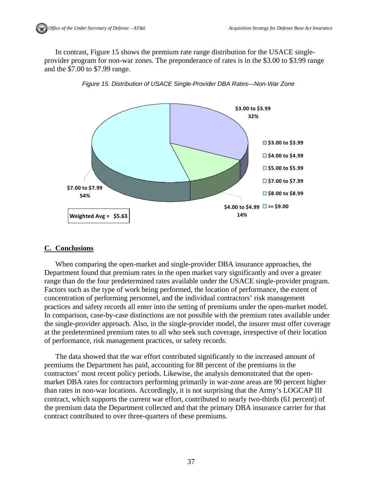In contrast, Figure 15 shows the premium rate range distribution for the USACE singleprovider program for non-war zones. The preponderance of rates is in the \$3.00 to \$3.99 range and the \$7.00 to \$7.99 range.



*Figure 15. Distribution of USACE Single-Provider DBA Rates—Non-War Zone* 

## **C. Conclusions**

When comparing the open-market and single-provider DBA insurance approaches, the Department found that premium rates in the open market vary significantly and over a greater range than do the four predetermined rates available under the USACE single-provider program. Factors such as the type of work being performed, the location of performance, the extent of concentration of performing personnel, and the individual contractors' risk management practices and safety records all enter into the setting of premiums under the open-market model. In comparison, case-by-case distinctions are not possible with the premium rates available under the single-provider approach. Also, in the single-provider model, the insurer must offer coverage at the predetermined premium rates to all who seek such coverage, irrespective of their location of performance, risk management practices, or safety records.

The data showed that the war effort contributed significantly to the increased amount of premiums the Department has paid, accounting for 88 percent of the premiums in the contractors' most recent policy periods. Likewise, the analysis demonstrated that the openmarket DBA rates for contractors performing primarily in war-zone areas are 90 percent higher than rates in non-war locations. Accordingly, it is not surprising that the Army's LOGCAP III contract, which supports the current war effort, contributed to nearly two-thirds (61 percent) of the premium data the Department collected and that the primary DBA insurance carrier for that contract contributed to over three-quarters of these premiums.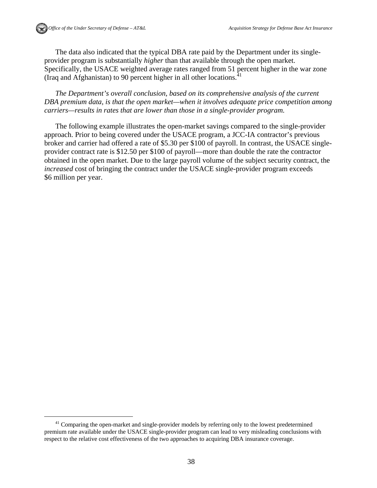The data also indicated that the typical DBA rate paid by the Department under its singleprovider program is substantially *higher* than that available through the open market. Specifically, the USACE weighted average rates ranged from 51 percent higher in the war zone (Iraq and Afghanistan) to 90 percent higher in all other locations.<sup>41</sup>

*The Department's overall conclusion, based on its comprehensive analysis of the current DBA premium data, is that the open market—when it involves adequate price competition among carriers—results in rates that are lower than those in a single-provider program.* 

The following example illustrates the open-market savings compared to the single-provider approach. Prior to being covered under the USACE program, a JCC-IA contractor's previous broker and carrier had offered a rate of \$5.30 per \$100 of payroll. In contrast, the USACE singleprovider contract rate is \$12.50 per \$100 of payroll—more than double the rate the contractor obtained in the open market. Due to the large payroll volume of the subject security contract, the *increased* cost of bringing the contract under the USACE single-provider program exceeds \$6 million per year.

<sup>&</sup>lt;sup>41</sup> Comparing the open-market and single-provider models by referring only to the lowest predetermined premium rate available under the USACE single-provider program can lead to very misleading conclusions with respect to the relative cost effectiveness of the two approaches to acquiring DBA insurance coverage.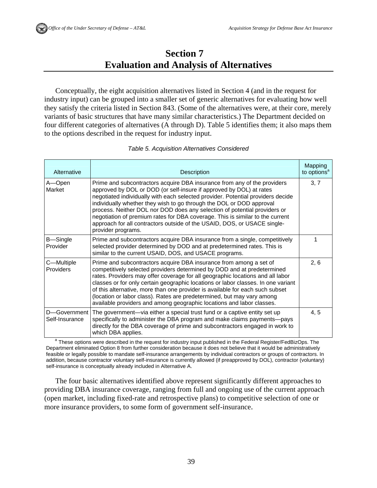# **Section 7 Evaluation and Analysis of Alternatives**

Conceptually, the eight acquisition alternatives listed in Section 4 (and in the request for industry input) can be grouped into a smaller set of generic alternatives for evaluating how well they satisfy the criteria listed in Section 843. (Some of the alternatives were, at their core, merely variants of basic structures that have many similar characteristics.) The Department decided on four different categories of alternatives (A through D). Table 5 identifies them; it also maps them to the options described in the request for industry input.

| Alternative                    | Description                                                                                                                                                                                                                                                                                                                                                                                                                                                                                                                                                                | Mapping<br>to options <sup>a</sup> |
|--------------------------------|----------------------------------------------------------------------------------------------------------------------------------------------------------------------------------------------------------------------------------------------------------------------------------------------------------------------------------------------------------------------------------------------------------------------------------------------------------------------------------------------------------------------------------------------------------------------------|------------------------------------|
| A-Open<br>Market               | Prime and subcontractors acquire DBA insurance from any of the providers<br>approved by DOL or DOD (or self-insure if approved by DOL) at rates<br>negotiated individually with each selected provider. Potential providers decide<br>individually whether they wish to go through the DOL or DOD approval<br>process. Neither DOL nor DOD does any selection of potential providers or<br>negotiation of premium rates for DBA coverage. This is similar to the current<br>approach for all contractors outside of the USAID, DOS, or USACE single-<br>provider programs. | 3, 7                               |
| B-Single<br>Provider           | Prime and subcontractors acquire DBA insurance from a single, competitively<br>selected provider determined by DOD and at predetermined rates. This is<br>similar to the current USAID, DOS, and USACE programs.                                                                                                                                                                                                                                                                                                                                                           | 1                                  |
| C-Multiple<br>Providers        | Prime and subcontractors acquire DBA insurance from among a set of<br>competitively selected providers determined by DOD and at predetermined<br>rates. Providers may offer coverage for all geographic locations and all labor<br>classes or for only certain geographic locations or labor classes. In one variant<br>of this alternative, more than one provider is available for each such subset<br>(location or labor class). Rates are predetermined, but may vary among<br>available providers and among geographic locations and labor classes.                   | 2, 6                               |
| D-Government<br>Self-Insurance | The government—via either a special trust fund or a captive entity set up<br>specifically to administer the DBA program and make claims payments-pays<br>directly for the DBA coverage of prime and subcontractors engaged in work to<br>which DBA applies.                                                                                                                                                                                                                                                                                                                | 4, 5                               |

#### *Table 5. Acquisition Alternatives Considered*

 $^{\rm a}$  These options were described in the request for industry input published in the Federal Register/FedBizOps. The Department eliminated Option 8 from further consideration because it does not believe that it would be administratively feasible or legally possible to mandate self-insurance arrangements by individual contractors or groups of contractors. In addition, because contractor voluntary self-insurance is currently allowed (if preapproved by DOL), contractor (voluntary) self-insurance is conceptually already included in Alternative A.

The four basic alternatives identified above represent significantly different approaches to providing DBA insurance coverage, ranging from full and ongoing use of the current approach (open market, including fixed-rate and retrospective plans) to competitive selection of one or more insurance providers, to some form of government self-insurance.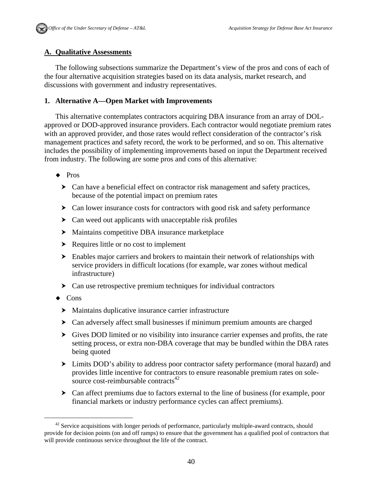## **A. Qualitative Assessments**

The following subsections summarize the Department's view of the pros and cons of each of the four alternative acquisition strategies based on its data analysis, market research, and discussions with government and industry representatives.

#### **1. Alternative A—Open Market with Improvements**

This alternative contemplates contractors acquiring DBA insurance from an array of DOLapproved or DOD-approved insurance providers. Each contractor would negotiate premium rates with an approved provider, and those rates would reflect consideration of the contractor's risk management practices and safety record, the work to be performed, and so on. This alternative includes the possibility of implementing improvements based on input the Department received from industry. The following are some pros and cons of this alternative:

- ◆ Pros
	- $\triangleright$  Can have a beneficial effect on contractor risk management and safety practices, because of the potential impact on premium rates
	- $\triangleright$  Can lower insurance costs for contractors with good risk and safety performance
	- ▶ Can weed out applicants with unacceptable risk profiles
	- Maintains competitive DBA insurance marketplace
	- Requires little or no cost to implement
	- Enables major carriers and brokers to maintain their network of relationships with service providers in difficult locations (for example, war zones without medical infrastructure)
	- Can use retrospective premium techniques for individual contractors
- $\triangleleft$  Cons
	- Maintains duplicative insurance carrier infrastructure
	- Can adversely affect small businesses if minimum premium amounts are charged
	- Gives DOD limited or no visibility into insurance carrier expenses and profits, the rate setting process, or extra non-DBA coverage that may be bundled within the DBA rates being quoted
	- Limits DOD's ability to address poor contractor safety performance (moral hazard) and provides little incentive for contractors to ensure reasonable premium rates on solesource cost-reimbursable contracts $42$
	- Can affect premiums due to factors external to the line of business (for example, poor financial markets or industry performance cycles can affect premiums).

<sup>&</sup>lt;sup>42</sup> Service acquisitions with longer periods of performance, particularly multiple-award contracts, should provide for decision points (on and off ramps) to ensure that the government has a qualified pool of contractors that will provide continuous service throughout the life of the contract.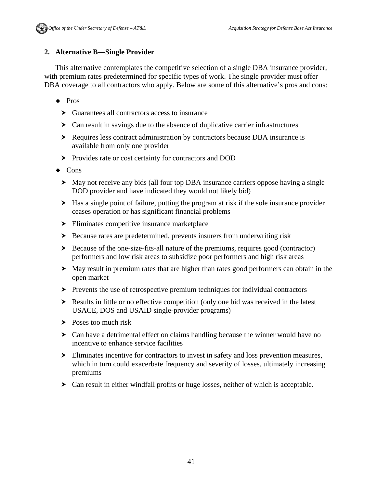# **2. Alternative B—Single Provider**

This alternative contemplates the competitive selection of a single DBA insurance provider, with premium rates predetermined for specific types of work. The single provider must offer DBA coverage to all contractors who apply. Below are some of this alternative's pros and cons:

- ◆ Pros
	- Guarantees all contractors access to insurance
	- Can result in savings due to the absence of duplicative carrier infrastructures
	- Requires less contract administration by contractors because DBA insurance is available from only one provider
	- **Provides rate or cost certainty for contractors and DOD**
- ◆ Cons
	- May not receive any bids (all four top DBA insurance carriers oppose having a single DOD provider and have indicated they would not likely bid)
	- Has a single point of failure, putting the program at risk if the sole insurance provider ceases operation or has significant financial problems
	- Eliminates competitive insurance marketplace
	- Because rates are predetermined, prevents insurers from underwriting risk
	- $\triangleright$  Because of the one-size-fits-all nature of the premiums, requires good (contractor) performers and low risk areas to subsidize poor performers and high risk areas
	- May result in premium rates that are higher than rates good performers can obtain in the open market
	- $\triangleright$  Prevents the use of retrospective premium techniques for individual contractors
	- Results in little or no effective competition (only one bid was received in the latest USACE, DOS and USAID single-provider programs)
	- $\triangleright$  Poses too much risk
	- Can have a detrimental effect on claims handling because the winner would have no incentive to enhance service facilities
	- Eliminates incentive for contractors to invest in safety and loss prevention measures, which in turn could exacerbate frequency and severity of losses, ultimately increasing premiums
	- Can result in either windfall profits or huge losses, neither of which is acceptable.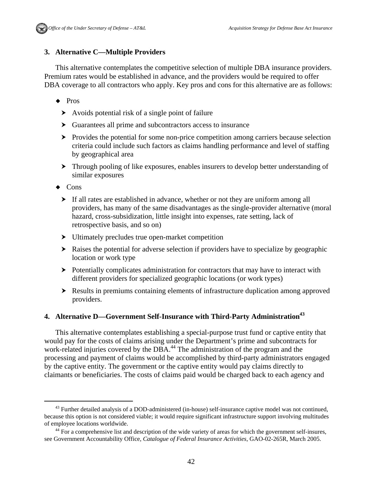# **3. Alternative C—Multiple Providers**

This alternative contemplates the competitive selection of multiple DBA insurance providers. Premium rates would be established in advance, and the providers would be required to offer DBA coverage to all contractors who apply. Key pros and cons for this alternative are as follows:

- ◆ Pros
	- Avoids potential risk of a single point of failure
	- Guarantees all prime and subcontractors access to insurance
	- **Provides the potential for some non-price competition among carriers because selection** criteria could include such factors as claims handling performance and level of staffing by geographical area
	- Through pooling of like exposures, enables insurers to develop better understanding of similar exposures
- $\triangleleft$  Cons
	- If all rates are established in advance, whether or not they are uniform among all providers, has many of the same disadvantages as the single-provider alternative (moral hazard, cross-subsidization, little insight into expenses, rate setting, lack of retrospective basis, and so on)
	- Ultimately precludes true open-market competition
	- Raises the potential for adverse selection if providers have to specialize by geographic location or work type
	- > Potentially complicates administration for contractors that may have to interact with different providers for specialized geographic locations (or work types)
	- Results in premiums containing elements of infrastructure duplication among approved providers.

## **4. Alternative D—Government Self-Insurance with Third-Party Administration**<sup>43</sup>

This alternative contemplates establishing a special-purpose trust fund or captive entity that would pay for the costs of claims arising under the Department's prime and subcontracts for work-related injuries covered by the DBA.<sup>44</sup> The administration of the program and the processing and payment of claims would be accomplished by third-party administrators engaged by the captive entity. The government or the captive entity would pay claims directly to claimants or beneficiaries. The costs of claims paid would be charged back to each agency and

<sup>&</sup>lt;sup>43</sup> Further detailed analysis of a DOD-administered (in-house) self-insurance captive model was not continued, because this option is not considered viable; it would require significant infrastructure support involving multitudes of employee locations worldwide. 44 For a comprehensive list and description of the wide variety of areas for which the government self-insures,

see Government Accountability Office, *Catalogue of Federal Insurance Activities*, GAO-02-265R, March 2005.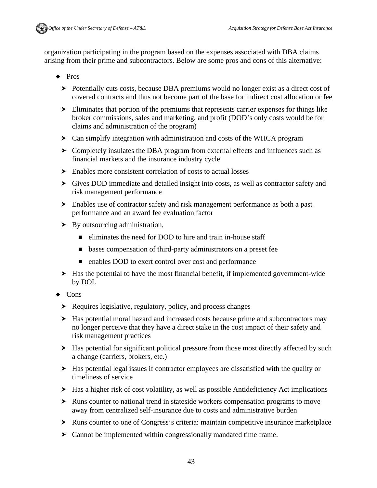

organization participating in the program based on the expenses associated with DBA claims arising from their prime and subcontractors. Below are some pros and cons of this alternative:

- $\bullet$  Pros
	- Potentially cuts costs, because DBA premiums would no longer exist as a direct cost of covered contracts and thus not become part of the base for indirect cost allocation or fee
	- Eliminates that portion of the premiums that represents carrier expenses for things like broker commissions, sales and marketing, and profit (DOD's only costs would be for claims and administration of the program)
	- Can simplify integration with administration and costs of the WHCA program
	- Completely insulates the DBA program from external effects and influences such as financial markets and the insurance industry cycle
	- $\blacktriangleright$  Enables more consistent correlation of costs to actual losses
	- Gives DOD immediate and detailed insight into costs, as well as contractor safety and risk management performance
	- Enables use of contractor safety and risk management performance as both a past performance and an award fee evaluation factor
	- By outsourcing administration,
		- $\blacksquare$  eliminates the need for DOD to hire and train in-house staff
		- bases compensation of third-party administrators on a preset fee
		- enables DOD to exert control over cost and performance
	- Has the potential to have the most financial benefit, if implemented government-wide by DOL
- $\triangleleft$  Cons
	- ▶ Requires legislative, regulatory, policy, and process changes
	- $\blacktriangleright$  Has potential moral hazard and increased costs because prime and subcontractors may no longer perceive that they have a direct stake in the cost impact of their safety and risk management practices
	- $\blacktriangleright$  Has potential for significant political pressure from those most directly affected by such a change (carriers, brokers, etc.)
	- Has potential legal issues if contractor employees are dissatisfied with the quality or timeliness of service
	- Has a higher risk of cost volatility, as well as possible Antideficiency Act implications
	- Runs counter to national trend in stateside workers compensation programs to move away from centralized self-insurance due to costs and administrative burden
	- Runs counter to one of Congress's criteria: maintain competitive insurance marketplace
	- Cannot be implemented within congressionally mandated time frame.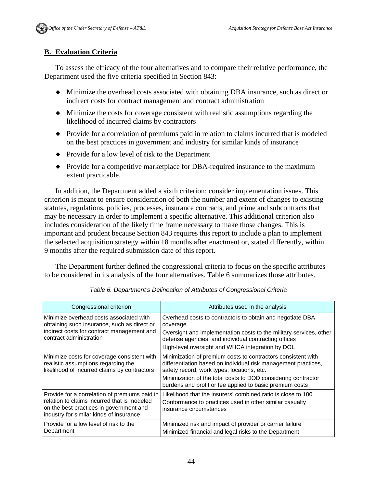# **B. Evaluation Criteria**

To assess the efficacy of the four alternatives and to compare their relative performance, the Department used the five criteria specified in Section 843:

- Minimize the overhead costs associated with obtaining DBA insurance, such as direct or indirect costs for contract management and contract administration
- Minimize the costs for coverage consistent with realistic assumptions regarding the likelihood of incurred claims by contractors
- Provide for a correlation of premiums paid in relation to claims incurred that is modeled on the best practices in government and industry for similar kinds of insurance
- Provide for a low level of risk to the Department
- Provide for a competitive market place for DBA-required insurance to the maximum extent practicable.

In addition, the Department added a sixth criterion: consider implementation issues. This criterion is meant to ensure consideration of both the number and extent of changes to existing statutes, regulations, policies, processes, insurance contracts, and prime and subcontracts that may be necessary in order to implement a specific alternative. This additional criterion also includes consideration of the likely time frame necessary to make those changes. This is important and prudent because Section 843 requires this report to include a plan to implement the selected acquisition strategy within 18 months after enactment or, stated differently, within 9 months after the required submission date of this report.

The Department further defined the congressional criteria to focus on the specific attributes to be considered in its analysis of the four alternatives. Table 6 summarizes those attributes.

| Congressional criterion                                                                                                                                                            | Attributes used in the analysis                                                                                                                                                                                                                                                                           |
|------------------------------------------------------------------------------------------------------------------------------------------------------------------------------------|-----------------------------------------------------------------------------------------------------------------------------------------------------------------------------------------------------------------------------------------------------------------------------------------------------------|
| Minimize overhead costs associated with<br>obtaining such insurance, such as direct or<br>indirect costs for contract management and<br>contract administration                    | Overhead costs to contractors to obtain and negotiate DBA<br>coverage<br>Oversight and implementation costs to the military services, other<br>defense agencies, and individual contracting offices<br>High-level oversight and WHCA integration by DOL                                                   |
| Minimize costs for coverage consistent with<br>realistic assumptions regarding the<br>likelihood of incurred claims by contractors                                                 | Minimization of premium costs to contractors consistent with<br>differentiation based on individual risk management practices,<br>safety record, work types, locations, etc.<br>Minimization of the total costs to DOD considering contractor<br>burdens and profit or fee applied to basic premium costs |
| Provide for a correlation of premiums paid in<br>relation to claims incurred that is modeled<br>on the best practices in government and<br>industry for similar kinds of insurance | Likelihood that the insurers' combined ratio is close to 100<br>Conformance to practices used in other similar casualty<br>insurance circumstances                                                                                                                                                        |
| Provide for a low level of risk to the<br>Department                                                                                                                               | Minimized risk and impact of provider or carrier failure<br>Minimized financial and legal risks to the Department                                                                                                                                                                                         |

*Table 6. Department's Delineation of Attributes of Congressional Criteria*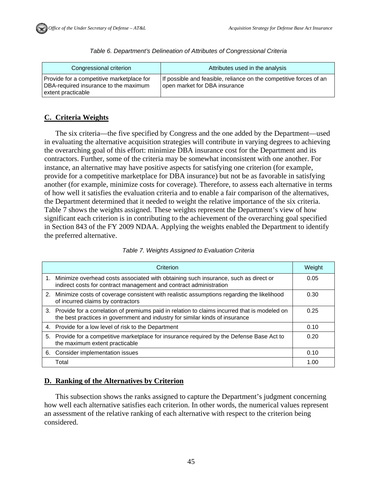| Congressional criterion                                                                                  | Attributes used in the analysis                                                                     |
|----------------------------------------------------------------------------------------------------------|-----------------------------------------------------------------------------------------------------|
| Provide for a competitive marketplace for<br>DBA-required insurance to the maximum<br>extent practicable | If possible and feasible, reliance on the competitive forces of an<br>open market for DBA insurance |

#### *Table 6. Department's Delineation of Attributes of Congressional Criteria*

## **C. Criteria Weights**

The six criteria—the five specified by Congress and the one added by the Department—used in evaluating the alternative acquisition strategies will contribute in varying degrees to achieving the overarching goal of this effort: minimize DBA insurance cost for the Department and its contractors. Further, some of the criteria may be somewhat inconsistent with one another. For instance, an alternative may have positive aspects for satisfying one criterion (for example, provide for a competitive marketplace for DBA insurance) but not be as favorable in satisfying another (for example, minimize costs for coverage). Therefore, to assess each alternative in terms of how well it satisfies the evaluation criteria and to enable a fair comparison of the alternatives, the Department determined that it needed to weight the relative importance of the six criteria. Table 7 shows the weights assigned. These weights represent the Department's view of how significant each criterion is in contributing to the achievement of the overarching goal specified in Section 843 of the FY 2009 NDAA. Applying the weights enabled the Department to identify the preferred alternative.

|    | Criterion                                                                                                                                                                       | Weight |
|----|---------------------------------------------------------------------------------------------------------------------------------------------------------------------------------|--------|
|    | 1. Minimize overhead costs associated with obtaining such insurance, such as direct or<br>indirect costs for contract management and contract administration                    | 0.05   |
|    | 2. Minimize costs of coverage consistent with realistic assumptions regarding the likelihood<br>of incurred claims by contractors                                               | 0.30   |
|    | 3. Provide for a correlation of premiums paid in relation to claims incurred that is modeled on<br>the best practices in government and industry for similar kinds of insurance | 0.25   |
|    | 4. Provide for a low level of risk to the Department                                                                                                                            | 0.10   |
|    | 5. Provide for a competitive marketplace for insurance required by the Defense Base Act to<br>the maximum extent practicable                                                    | 0.20   |
| 6. | Consider implementation issues                                                                                                                                                  | 0.10   |
|    | Total                                                                                                                                                                           | 1.00   |

#### *Table 7. Weights Assigned to Evaluation Criteria*

## **D. Ranking of the Alternatives by Criterion**

This subsection shows the ranks assigned to capture the Department's judgment concerning how well each alternative satisfies each criterion. In other words, the numerical values represent an assessment of the relative ranking of each alternative with respect to the criterion being considered.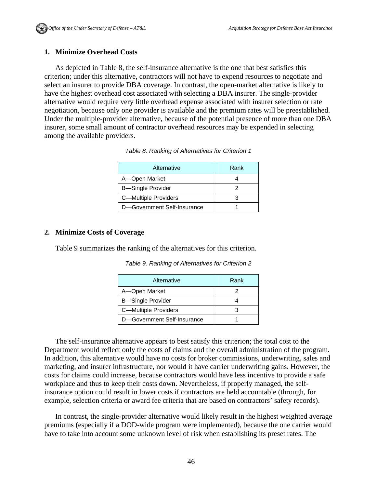#### **1. Minimize Overhead Costs**

As depicted in Table 8, the self-insurance alternative is the one that best satisfies this criterion; under this alternative, contractors will not have to expend resources to negotiate and select an insurer to provide DBA coverage. In contrast, the open-market alternative is likely to have the highest overhead cost associated with selecting a DBA insurer. The single-provider alternative would require very little overhead expense associated with insurer selection or rate negotiation, because only one provider is available and the premium rates will be preestablished. Under the multiple-provider alternative, because of the potential presence of more than one DBA insurer, some small amount of contractor overhead resources may be expended in selecting among the available providers.

| Alternative                 | Rank |
|-----------------------------|------|
| A-Open Market               |      |
| <b>B-Single Provider</b>    |      |
| C-Multiple Providers        |      |
| D-Government Self-Insurance |      |

*Table 8. Ranking of Alternatives for Criterion 1* 

#### **2. Minimize Costs of Coverage**

Table 9 summarizes the ranking of the alternatives for this criterion.

| Alternative                 | Rank |
|-----------------------------|------|
| A-Open Market               |      |
| <b>B</b> —Single Provider   |      |
| C-Multiple Providers        |      |
| D-Government Self-Insurance |      |

*Table 9. Ranking of Alternatives for Criterion 2* 

The self-insurance alternative appears to best satisfy this criterion; the total cost to the Department would reflect only the costs of claims and the overall administration of the program. In addition, this alternative would have no costs for broker commissions, underwriting, sales and marketing, and insurer infrastructure, nor would it have carrier underwriting gains. However, the costs for claims could increase, because contractors would have less incentive to provide a safe workplace and thus to keep their costs down. Nevertheless, if properly managed, the selfinsurance option could result in lower costs if contractors are held accountable (through, for example, selection criteria or award fee criteria that are based on contractors' safety records).

In contrast, the single-provider alternative would likely result in the highest weighted average premiums (especially if a DOD-wide program were implemented), because the one carrier would have to take into account some unknown level of risk when establishing its preset rates. The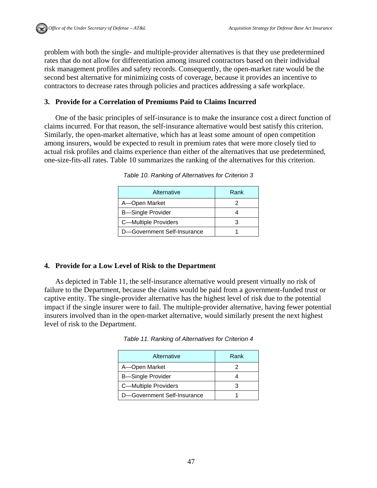problem with both the single- and multiple-provider alternatives is that they use predetermined rates that do not allow for differentiation among insured contractors based on their individual risk management profiles and safety records. Consequently, the open-market rate would be the second best alternative for minimizing costs of coverage, because it provides an incentive to contractors to decrease rates through policies and practices addressing a safe workplace.

## **3. Provide for a Correlation of Premiums Paid to Claims Incurred**

One of the basic principles of self-insurance is to make the insurance cost a direct function of claims incurred. For that reason, the self-insurance alternative would best satisfy this criterion. Similarly, the open-market alternative, which has at least some amount of open competition among insurers, would be expected to result in premium rates that were more closely tied to actual risk profiles and claims experience than either of the alternatives that use predetermined, one-size-fits-all rates. Table 10 summarizes the ranking of the alternatives for this criterion.

| Alternative                 | Rank |
|-----------------------------|------|
| A-Open Market               |      |
| <b>B</b> —Single Provider   |      |
| C-Multiple Providers        |      |
| D-Government Self-Insurance |      |

*Table 10. Ranking of Alternatives for Criterion 3* 

## **4. Provide for a Low Level of Risk to the Department**

As depicted in Table 11, the self-insurance alternative would present virtually no risk of failure to the Department, because the claims would be paid from a government-funded trust or captive entity. The single-provider alternative has the highest level of risk due to the potential impact if the single insurer were to fail. The multiple-provider alternative, having fewer potential insurers involved than in the open-market alternative, would similarly present the next highest level of risk to the Department.

| Alternative                 | Rank |
|-----------------------------|------|
| A-Open Market               |      |
| <b>B</b> -Single Provider   |      |
| <b>C-Multiple Providers</b> |      |

D-Government Self-Insurance | 1

*Table 11. Ranking of Alternatives for Criterion 4*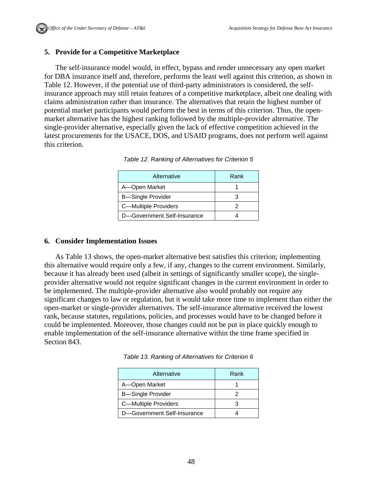## **5. Provide for a Competitive Marketplace**

The self-insurance model would, in effect, bypass and render unnecessary any open market for DBA insurance itself and, therefore, performs the least well against this criterion, as shown in Table 12. However, if the potential use of third-party administrators is considered, the selfinsurance approach may still retain features of a competitive marketplace, albeit one dealing with claims administration rather than insurance. The alternatives that retain the highest number of potential market participants would perform the best in terms of this criterion. Thus, the openmarket alternative has the highest ranking followed by the multiple-provider alternative. The single-provider alternative, especially given the lack of effective competition achieved in the latest procurements for the USACE, DOS, and USAID programs, does not perform well against this criterion.

| Alternative                 | Rank |
|-----------------------------|------|
| A-Open Market               |      |
| <b>B-Single Provider</b>    |      |
| C-Multiple Providers        |      |
| D-Government Self-Insurance |      |

*Table 12. Ranking of Alternatives for Criterion 5* 

#### **6. Consider Implementation Issues**

As Table 13 shows, the open-market alternative best satisfies this criterion; implementing this alternative would require only a few, if any, changes to the current environment. Similarly, because it has already been used (albeit in settings of significantly smaller scope), the singleprovider alternative would not require significant changes in the current environment in order to be implemented. The multiple-provider alternative also would probably not require any significant changes to law or regulation, but it would take more time to implement than either the open-market or single-provider alternatives. The self-insurance alternative received the lowest rank, because statutes, regulations, policies, and processes would have to be changed before it could be implemented. Moreover, those changes could not be put in place quickly enough to enable implementation of the self-insurance alternative within the time frame specified in Section 843.

| Alternative                 | Rank |
|-----------------------------|------|
| A-Open Market               |      |
| <b>B</b> —Single Provider   |      |
| C-Multiple Providers        |      |
| D-Government Self-Insurance |      |

*Table 13. Ranking of Alternatives for Criterion 6*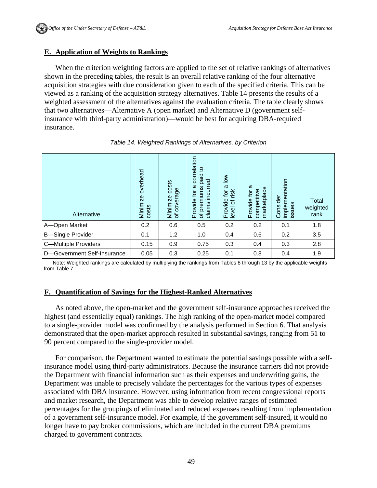#### **E. Application of Weights to Rankings**

When the criterion weighting factors are applied to the set of relative rankings of alternatives shown in the preceding tables, the result is an overall relative ranking of the four alternative acquisition strategies with due consideration given to each of the specified criteria. This can be viewed as a ranking of the acquisition strategy alternatives. Table 14 presents the results of a weighted assessment of the alternatives against the evaluation criteria. The table clearly shows that two alternatives—Alternative A (open market) and Alternative D (government selfinsurance with third-party administration)—would be best for acquiring DBA-required insurance.

| Alternative                 | overhead<br>Minimize<br>costs | costs<br>Minimize cos<br>of coverage | correlation<br>$\overline{5}$<br>paid<br>incurred<br>ω<br>premiums<br>tor<br>Provide<br>claims<br>$\overline{\sigma}$ | $\frac{8}{10}$<br>$\omega$<br>ig.id<br>Provide<br>$\mathbf{\ddot{o}}$<br>level | ω<br>marketplace<br>competitive<br>$\overline{Q}$<br>Provide | implementation<br>Consider<br>issues | Total<br>weighted<br>rank |
|-----------------------------|-------------------------------|--------------------------------------|-----------------------------------------------------------------------------------------------------------------------|--------------------------------------------------------------------------------|--------------------------------------------------------------|--------------------------------------|---------------------------|
| A-Open Market               | 0.2                           | 0.6                                  | 0.5                                                                                                                   | 0.2                                                                            | 0.2                                                          | 0.1                                  | 1.8                       |
| <b>B-Single Provider</b>    | 0.1                           | 1.2                                  | 1.0                                                                                                                   | 0.4                                                                            | 0.6                                                          | 0.2                                  | 3.5                       |
| C-Multiple Providers        | 0.15                          | 0.9                                  | 0.75                                                                                                                  | 0.3                                                                            | 0.4                                                          | 0.3                                  | 2.8                       |
| D-Government Self-Insurance | 0.05                          | 0.3                                  | 0.25                                                                                                                  | 0.1                                                                            | 0.8                                                          | 0.4                                  | 1.9                       |

*Table 14. Weighted Rankings of Alternatives, by Criterion* 

Note: Weighted rankings are calculated by multiplying the rankings from Tables 8 through 13 by the applicable weights from Table 7.

#### **F. Quantification of Savings for the Highest-Ranked Alternatives**

As noted above, the open-market and the government self-insurance approaches received the highest (and essentially equal) rankings. The high ranking of the open-market model compared to a single-provider model was confirmed by the analysis performed in Section 6. That analysis demonstrated that the open-market approach resulted in substantial savings, ranging from 51 to 90 percent compared to the single-provider model.

For comparison, the Department wanted to estimate the potential savings possible with a selfinsurance model using third-party administrators. Because the insurance carriers did not provide the Department with financial information such as their expenses and underwriting gains, the Department was unable to precisely validate the percentages for the various types of expenses associated with DBA insurance. However, using information from recent congressional reports and market research, the Department was able to develop relative ranges of estimated percentages for the groupings of eliminated and reduced expenses resulting from implementation of a government self-insurance model. For example, if the government self-insured, it would no longer have to pay broker commissions, which are included in the current DBA premiums charged to government contracts.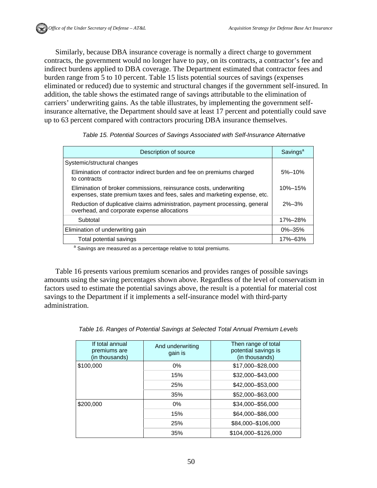Similarly, because DBA insurance coverage is normally a direct charge to government contracts, the government would no longer have to pay, on its contracts, a contractor's fee and indirect burdens applied to DBA coverage. The Department estimated that contractor fees and burden range from 5 to 10 percent. Table 15 lists potential sources of savings (expenses eliminated or reduced) due to systemic and structural changes if the government self-insured. In addition, the table shows the estimated range of savings attributable to the elimination of carriers' underwriting gains. As the table illustrates, by implementing the government selfinsurance alternative, the Department should save at least 17 percent and potentially could save up to 63 percent compared with contractors procuring DBA insurance themselves.

| Table 15. Potential Sources of Savings Associated with Self-Insurance Alternative |  |
|-----------------------------------------------------------------------------------|--|
|-----------------------------------------------------------------------------------|--|

| Description of source                                                                                                                           | Savings <sup>a</sup> |
|-------------------------------------------------------------------------------------------------------------------------------------------------|----------------------|
| Systemic/structural changes                                                                                                                     |                      |
| Elimination of contractor indirect burden and fee on premiums charged<br>to contracts                                                           | $5% - 10%$           |
| Elimination of broker commissions, reinsurance costs, underwriting<br>expenses, state premium taxes and fees, sales and marketing expense, etc. | $10\% - 15\%$        |
| Reduction of duplicative claims administration, payment processing, general<br>overhead, and corporate expense allocations                      | $2\% - 3\%$          |
| Subtotal                                                                                                                                        | 17%-28%              |
| Elimination of underwriting gain                                                                                                                | $0\% - 35\%$         |
| Total potential savings                                                                                                                         | 17%-63%              |

<sup>a</sup> Savings are measured as a percentage relative to total premiums.

Table 16 presents various premium scenarios and provides ranges of possible savings amounts using the saving percentages shown above. Regardless of the level of conservatism in factors used to estimate the potential savings above, the result is a potential for material cost savings to the Department if it implements a self-insurance model with third-party administration.

| If total annual<br>premiums are<br>(in thousands) | And underwriting<br>gain is | Then range of total<br>potential savings is<br>(in thousands) |  |
|---------------------------------------------------|-----------------------------|---------------------------------------------------------------|--|
| \$100,000                                         | $0\%$                       | \$17,000-\$28,000                                             |  |
|                                                   | 15%                         | \$32,000-\$43,000                                             |  |
|                                                   | 25%                         | \$42,000-\$53,000                                             |  |
|                                                   | 35%                         | \$52,000-\$63,000                                             |  |
| \$200,000                                         | $0\%$                       | \$34,000 - \$56,000                                           |  |
|                                                   | 15%                         | \$64,000-\$86,000                                             |  |
|                                                   | 25%                         | \$84,000-\$106,000                                            |  |
|                                                   | 35%                         | \$104,000-\$126,000                                           |  |

|  |  | Table 16. Ranges of Potential Savings at Selected Total Annual Premium Levels |  |  |
|--|--|-------------------------------------------------------------------------------|--|--|
|  |  |                                                                               |  |  |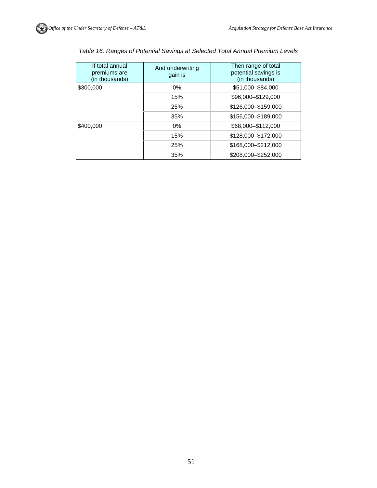| If total annual<br>premiums are<br>(in thousands) | And underwriting<br>gain is | Then range of total<br>potential savings is<br>(in thousands) |  |
|---------------------------------------------------|-----------------------------|---------------------------------------------------------------|--|
| \$300,000                                         | $0\%$                       | \$51,000-\$84,000                                             |  |
|                                                   | 15%                         | \$96,000-\$129,000                                            |  |
|                                                   | 25%                         | \$126,000-\$159,000                                           |  |
|                                                   | 35%                         | \$156,000-\$189,000                                           |  |
| \$400,000                                         | $0\%$                       | \$68,000-\$112,000                                            |  |
|                                                   | 15%                         | \$128,000-\$172,000                                           |  |
|                                                   | 25%                         | \$168,000-\$212,000                                           |  |
|                                                   | 35%                         | \$208,000-\$252,000                                           |  |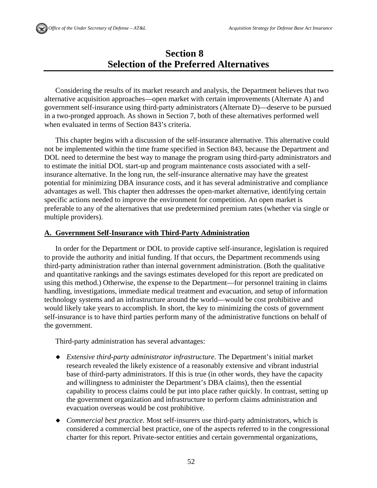# **Section 8 Selection of the Preferred Alternatives**

Considering the results of its market research and analysis, the Department believes that two alternative acquisition approaches—open market with certain improvements (Alternate A) and government self-insurance using third-party administrators (Alternate D)—deserve to be pursued in a two-pronged approach. As shown in Section 7, both of these alternatives performed well when evaluated in terms of Section 843's criteria.

This chapter begins with a discussion of the self-insurance alternative. This alternative could not be implemented within the time frame specified in Section 843, because the Department and DOL need to determine the best way to manage the program using third-party administrators and to estimate the initial DOL start-up and program maintenance costs associated with a selfinsurance alternative. In the long run, the self-insurance alternative may have the greatest potential for minimizing DBA insurance costs, and it has several administrative and compliance advantages as well. This chapter then addresses the open-market alternative, identifying certain specific actions needed to improve the environment for competition. An open market is preferable to any of the alternatives that use predetermined premium rates (whether via single or multiple providers).

## **A. Government Self-Insurance with Third-Party Administration**

In order for the Department or DOL to provide captive self-insurance, legislation is required to provide the authority and initial funding. If that occurs, the Department recommends using third-party administration rather than internal government administration. (Both the qualitative and quantitative rankings and the savings estimates developed for this report are predicated on using this method.) Otherwise, the expense to the Department—for personnel training in claims handling, investigations, immediate medical treatment and evacuation, and setup of information technology systems and an infrastructure around the world—would be cost prohibitive and would likely take years to accomplish. In short, the key to minimizing the costs of government self-insurance is to have third parties perform many of the administrative functions on behalf of the government.

Third-party administration has several advantages:

- *Extensive third-party administrator infrastructure.* The Department's initial market research revealed the likely existence of a reasonably extensive and vibrant industrial base of third-party administrators. If this is true (in other words, they have the capacity and willingness to administer the Department's DBA claims), then the essential capability to process claims could be put into place rather quickly. In contrast, setting up the government organization and infrastructure to perform claims administration and evacuation overseas would be cost prohibitive.
- *Commercial best practice.* Most self-insurers use third-party administrators, which is considered a commercial best practice, one of the aspects referred to in the congressional charter for this report. Private-sector entities and certain governmental organizations,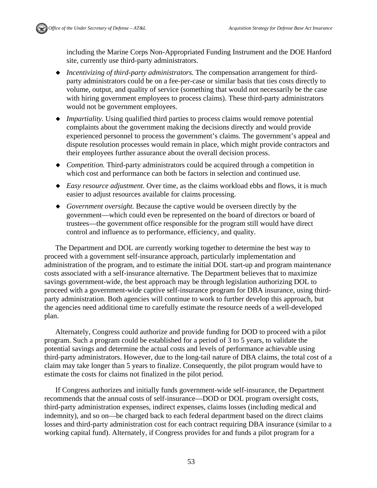

including the Marine Corps Non-Appropriated Funding Instrument and the DOE Hanford site, currently use third-party administrators.

- *Incentivizing of third-party administrators.* The compensation arrangement for thirdparty administrators could be on a fee-per-case or similar basis that ties costs directly to volume, output, and quality of service (something that would not necessarily be the case with hiring government employees to process claims). These third-party administrators would not be government employees.
- *Impartiality.* Using qualified third parties to process claims would remove potential complaints about the government making the decisions directly and would provide experienced personnel to process the government's claims. The government's appeal and dispute resolution processes would remain in place, which might provide contractors and their employees further assurance about the overall decision process.
- *Competition.* Third-party administrators could be acquired through a competition in which cost and performance can both be factors in selection and continued use.
- *Easy resource adjustment.* Over time, as the claims workload ebbs and flows, it is much easier to adjust resources available for claims processing.
- *Government oversight.* Because the captive would be overseen directly by the government—which could even be represented on the board of directors or board of trustees—the government office responsible for the program still would have direct control and influence as to performance, efficiency, and quality.

The Department and DOL are currently working together to determine the best way to proceed with a government self-insurance approach, particularly implementation and administration of the program, and to estimate the initial DOL start-up and program maintenance costs associated with a self-insurance alternative. The Department believes that to maximize savings government-wide, the best approach may be through legislation authorizing DOL to proceed with a government-wide captive self-insurance program for DBA insurance, using thirdparty administration. Both agencies will continue to work to further develop this approach, but the agencies need additional time to carefully estimate the resource needs of a well-developed plan.

Alternately, Congress could authorize and provide funding for DOD to proceed with a pilot program. Such a program could be established for a period of 3 to 5 years, to validate the potential savings and determine the actual costs and levels of performance achievable using third-party administrators. However, due to the long-tail nature of DBA claims, the total cost of a claim may take longer than 5 years to finalize. Consequently, the pilot program would have to estimate the costs for claims not finalized in the pilot period.

If Congress authorizes and initially funds government-wide self-insurance, the Department recommends that the annual costs of self-insurance—DOD or DOL program oversight costs, third-party administration expenses, indirect expenses, claims losses (including medical and indemnity), and so on—be charged back to each federal department based on the direct claims losses and third-party administration cost for each contract requiring DBA insurance (similar to a working capital fund). Alternately, if Congress provides for and funds a pilot program for a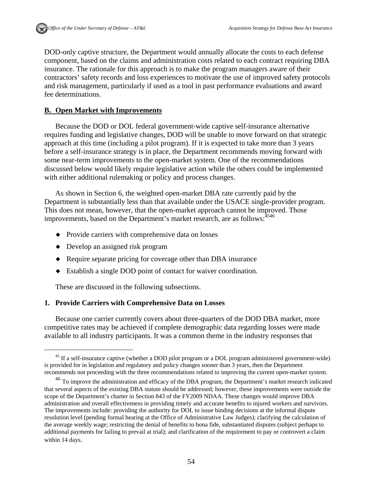DOD-only captive structure, the Department would annually allocate the costs to each defense component, based on the claims and administration costs related to each contract requiring DBA insurance. The rationale for this approach is to make the program managers aware of their contractors' safety records and loss experiences to motivate the use of improved safety protocols and risk management, particularly if used as a tool in past performance evaluations and award fee determinations.

#### **B. Open Market with Improvements**

Because the DOD or DOL federal government-wide captive self-insurance alternative requires funding and legislative changes, DOD will be unable to move forward on that strategic approach at this time (including a pilot program). If it is expected to take more than 3 years before a self-insurance strategy is in place, the Department recommends moving forward with some near-term improvements to the open-market system. One of the recommendations discussed below would likely require legislative action while the others could be implemented with either additional rulemaking or policy and process changes.

As shown in Section 6, the weighted open-market DBA rate currently paid by the Department is substantially less than that available under the USACE single-provider program. This does not mean, however, that the open-market approach cannot be improved. Those improvements, based on the Department's market research, are as follows:<sup>4546</sup>

- Provide carriers with comprehensive data on losses
- Develop an assigned risk program
- Require separate pricing for coverage other than DBA insurance
- Establish a single DOD point of contact for waiver coordination.

These are discussed in the following subsections.

## **1. Provide Carriers with Comprehensive Data on Losses**

Because one carrier currently covers about three-quarters of the DOD DBA market, more competitive rates may be achieved if complete demographic data regarding losses were made available to all industry participants. It was a common theme in the industry responses that

<sup>&</sup>lt;sup>45</sup> If a self-insurance captive (whether a DOD pilot program or a DOL program administered government-wide) is provided for in legislation and regulatory and policy changes sooner than 3 years, then the Department recommends not proceeding with the three recommendations related to improving the current open-market system.

<sup>&</sup>lt;sup>46</sup> To improve the administration and efficacy of the DBA program, the Department's market research indicated that several aspects of the existing DBA statute should be addressed; however, these improvements were outside the scope of the Department's charter in Section 843 of the FY2009 NDAA. These changes would improve DBA administration and overall effectiveness in providing timely and accurate benefits to injured workers and survivors. The improvements include: providing the authority for DOL to issue binding decisions at the informal dispute resolution level (pending formal hearing at the Office of Administrative Law Judges); clarifying the calculation of the average weekly wage; restricting the denial of benefits to bona fide, substantiated disputes (subject perhaps to additional payments for failing to prevail at trial); and clarification of the requirement to pay or controvert a claim within 14 days.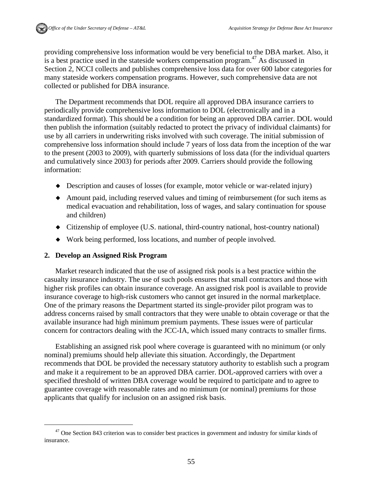providing comprehensive loss information would be very beneficial to the DBA market. Also, it is a best practice used in the stateside workers compensation program.<sup>47</sup> As discussed in Section 2, NCCI collects and publishes comprehensive loss data for over 600 labor categories for many stateside workers compensation programs. However, such comprehensive data are not collected or published for DBA insurance.

The Department recommends that DOL require all approved DBA insurance carriers to periodically provide comprehensive loss information to DOL (electronically and in a standardized format). This should be a condition for being an approved DBA carrier. DOL would then publish the information (suitably redacted to protect the privacy of individual claimants) for use by all carriers in underwriting risks involved with such coverage. The initial submission of comprehensive loss information should include 7 years of loss data from the inception of the war to the present (2003 to 2009), with quarterly submissions of loss data (for the individual quarters and cumulatively since 2003) for periods after 2009. Carriers should provide the following information:

- Description and causes of losses (for example, motor vehicle or war-related injury)
- Amount paid, including reserved values and timing of reimbursement (for such items as medical evacuation and rehabilitation, loss of wages, and salary continuation for spouse and children)
- Citizenship of employee (U.S. national, third-country national, host-country national)
- Work being performed, loss locations, and number of people involved.

#### **2. Develop an Assigned Risk Program**

Market research indicated that the use of assigned risk pools is a best practice within the casualty insurance industry. The use of such pools ensures that small contractors and those with higher risk profiles can obtain insurance coverage. An assigned risk pool is available to provide insurance coverage to high-risk customers who cannot get insured in the normal marketplace. One of the primary reasons the Department started its single-provider pilot program was to address concerns raised by small contractors that they were unable to obtain coverage or that the available insurance had high minimum premium payments. These issues were of particular concern for contractors dealing with the JCC-IA, which issued many contracts to smaller firms.

Establishing an assigned risk pool where coverage is guaranteed with no minimum (or only nominal) premiums should help alleviate this situation. Accordingly, the Department recommends that DOL be provided the necessary statutory authority to establish such a program and make it a requirement to be an approved DBA carrier. DOL-approved carriers with over a specified threshold of written DBA coverage would be required to participate and to agree to guarantee coverage with reasonable rates and no minimum (or nominal) premiums for those applicants that qualify for inclusion on an assigned risk basis.

<sup>&</sup>lt;sup>47</sup> One Section 843 criterion was to consider best practices in government and industry for similar kinds of insurance.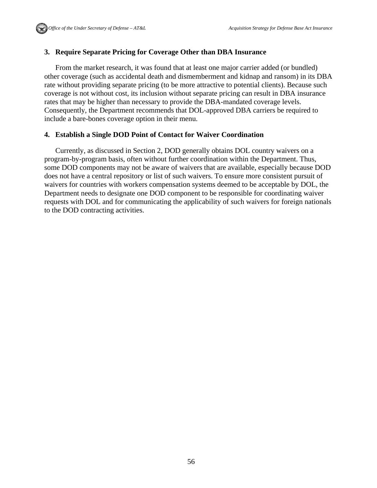## **3. Require Separate Pricing for Coverage Other than DBA Insurance**

From the market research, it was found that at least one major carrier added (or bundled) other coverage (such as accidental death and dismemberment and kidnap and ransom) in its DBA rate without providing separate pricing (to be more attractive to potential clients). Because such coverage is not without cost, its inclusion without separate pricing can result in DBA insurance rates that may be higher than necessary to provide the DBA-mandated coverage levels. Consequently, the Department recommends that DOL-approved DBA carriers be required to include a bare-bones coverage option in their menu.

## **4. Establish a Single DOD Point of Contact for Waiver Coordination**

Currently, as discussed in Section 2, DOD generally obtains DOL country waivers on a program-by-program basis, often without further coordination within the Department. Thus, some DOD components may not be aware of waivers that are available, especially because DOD does not have a central repository or list of such waivers. To ensure more consistent pursuit of waivers for countries with workers compensation systems deemed to be acceptable by DOL, the Department needs to designate one DOD component to be responsible for coordinating waiver requests with DOL and for communicating the applicability of such waivers for foreign nationals to the DOD contracting activities.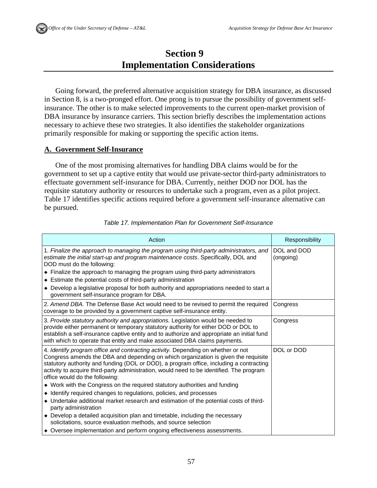# **Section 9 Implementation Considerations**

Going forward, the preferred alternative acquisition strategy for DBA insurance, as discussed in Section 8, is a two-pronged effort. One prong is to pursue the possibility of government selfinsurance. The other is to make selected improvements to the current open-market provision of DBA insurance by insurance carriers. This section briefly describes the implementation actions necessary to achieve these two strategies. It also identifies the stakeholder organizations primarily responsible for making or supporting the specific action items.

## **A. Government Self-Insurance**

One of the most promising alternatives for handling DBA claims would be for the government to set up a captive entity that would use private-sector third-party administrators to effectuate government self-insurance for DBA. Currently, neither DOD nor DOL has the requisite statutory authority or resources to undertake such a program, even as a pilot project. Table 17 identifies specific actions required before a government self-insurance alternative can be pursued.

| Action                                                                                                                                                                                                                                                                                                                                                                                          | Responsibility           |
|-------------------------------------------------------------------------------------------------------------------------------------------------------------------------------------------------------------------------------------------------------------------------------------------------------------------------------------------------------------------------------------------------|--------------------------|
| 1. Finalize the approach to managing the program using third-party administrators, and<br>estimate the initial start-up and program maintenance costs. Specifically, DOL and<br>DOD must do the following:                                                                                                                                                                                      | DOL and DOD<br>(ongoing) |
| • Finalize the approach to managing the program using third-party administrators                                                                                                                                                                                                                                                                                                                |                          |
| • Estimate the potential costs of third-party administration                                                                                                                                                                                                                                                                                                                                    |                          |
| • Develop a legislative proposal for both authority and appropriations needed to start a<br>government self-insurance program for DBA.                                                                                                                                                                                                                                                          |                          |
| 2. Amend DBA. The Defense Base Act would need to be revised to permit the required<br>coverage to be provided by a government captive self-insurance entity.                                                                                                                                                                                                                                    | Congress                 |
| 3. Provide statutory authority and appropriations. Legislation would be needed to<br>provide either permanent or temporary statutory authority for either DOD or DOL to<br>establish a self-insurance captive entity and to authorize and appropriate an initial fund<br>with which to operate that entity and make associated DBA claims payments.                                             | Congress                 |
| 4. Identify program office and contracting activity. Depending on whether or not<br>Congress amends the DBA and depending on which organization is given the requisite<br>statutory authority and funding (DOL or DOD), a program office, including a contracting<br>activity to acquire third-party administration, would need to be identified. The program<br>office would do the following: | DOL or DOD               |
| • Work with the Congress on the required statutory authorities and funding                                                                                                                                                                                                                                                                                                                      |                          |
| • Identify required changes to regulations, policies, and processes                                                                                                                                                                                                                                                                                                                             |                          |
| • Undertake additional market research and estimation of the potential costs of third-<br>party administration                                                                                                                                                                                                                                                                                  |                          |
| • Develop a detailed acquisition plan and timetable, including the necessary<br>solicitations, source evaluation methods, and source selection                                                                                                                                                                                                                                                  |                          |
| • Oversee implementation and perform ongoing effectiveness assessments.                                                                                                                                                                                                                                                                                                                         |                          |

#### *Table 17. Implementation Plan for Government Self-Insurance*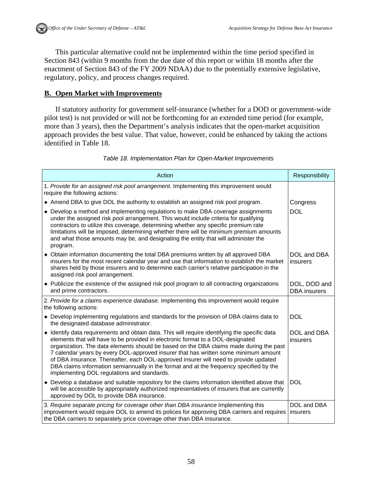This particular alternative could not be implemented within the time period specified in Section 843 (within 9 months from the due date of this report or within 18 months after the enactment of Section 843 of the FY 2009 NDAA) due to the potentially extensive legislative, regulatory, policy, and process changes required.

## **B. Open Market with Improvements**

If statutory authority for government self-insurance (whether for a DOD or government-wide pilot test) is not provided or will not be forthcoming for an extended time period (for example, more than 3 years), then the Department's analysis indicates that the open-market acquisition approach provides the best value. That value, however, could be enhanced by taking the actions identified in Table 18.

## *Table 18. Implementation Plan for Open-Market Improvements*

| Action                                                                                                                                                                                                                                                                                                                                                                                                                                                                                                                                                                                              | Responsibility                      |
|-----------------------------------------------------------------------------------------------------------------------------------------------------------------------------------------------------------------------------------------------------------------------------------------------------------------------------------------------------------------------------------------------------------------------------------------------------------------------------------------------------------------------------------------------------------------------------------------------------|-------------------------------------|
| 1. Provide for an assigned risk pool arrangement. Implementing this improvement would<br>require the following actions:                                                                                                                                                                                                                                                                                                                                                                                                                                                                             |                                     |
| Amend DBA to give DOL the authority to establish an assigned risk pool program.                                                                                                                                                                                                                                                                                                                                                                                                                                                                                                                     | Congress                            |
| • Develop a method and implementing regulations to make DBA coverage assignments<br>under the assigned risk pool arrangement. This would include criteria for qualifying<br>contractors to utilize this coverage, determining whether any specific premium rate<br>limitations will be imposed, determining whether there will be minimum premium amounts<br>and what those amounts may be, and designating the entity that will administer the<br>program.                                                                                                                                         | <b>DOL</b>                          |
| • Obtain information documenting the total DBA premiums written by all approved DBA<br>insurers for the most recent calendar year and use that information to establish the market<br>shares held by those insurers and to determine each carrier's relative participation in the<br>assigned risk pool arrangement.                                                                                                                                                                                                                                                                                | DOL and DBA<br>insurers             |
| • Publicize the existence of the assigned risk pool program to all contracting organizations<br>and prime contractors.                                                                                                                                                                                                                                                                                                                                                                                                                                                                              | DOL, DOD and<br><b>DBA</b> insurers |
| 2. Provide for a claims experience database. Implementing this improvement would require<br>the following actions:                                                                                                                                                                                                                                                                                                                                                                                                                                                                                  |                                     |
| • Develop implementing regulations and standards for the provision of DBA claims data to<br>the designated database administrator.                                                                                                                                                                                                                                                                                                                                                                                                                                                                  | <b>DOL</b>                          |
| • Identify data requirements and obtain data. This will require identifying the specific data<br>elements that will have to be provided in electronic format to a DOL-designated<br>organization. The data elements should be based on the DBA claims made during the past<br>7 calendar years by every DOL-approved insurer that has written some minimum amount<br>of DBA insurance. Thereafter, each DOL-approved insurer will need to provide updated<br>DBA claims information semiannually in the format and at the frequency specified by the<br>implementing DOL regulations and standards. | DOL and DBA<br>insurers             |
| • Develop a database and suitable repository for the claims information identified above that<br>will be accessible by appropriately authorized representatives of insurers that are currently<br>approved by DOL to provide DBA insurance.                                                                                                                                                                                                                                                                                                                                                         | <b>DOL</b>                          |
| 3. Require separate pricing for coverage other than DBA insurance Implementing this<br>improvement would require DOL to amend its polices for approving DBA carriers and requires<br>the DBA carriers to separately price coverage other than DBA insurance.                                                                                                                                                                                                                                                                                                                                        | DOL and DBA<br>insurers             |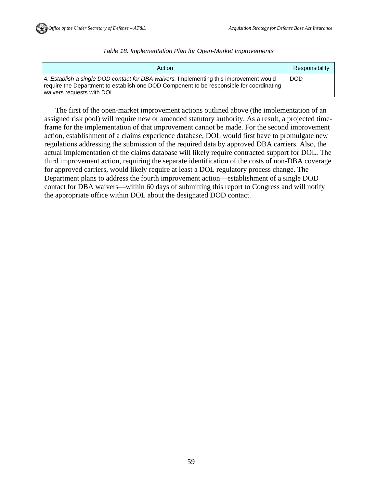

*Table 18. Implementation Plan for Open-Market Improvements* 

| Action                                                                                                                                                                                                           | Responsibility |
|------------------------------------------------------------------------------------------------------------------------------------------------------------------------------------------------------------------|----------------|
| 4. Establish a single DOD contact for DBA waivers. Implementing this improvement would<br>require the Department to establish one DOD Component to be responsible for coordinating<br>waivers requests with DOL. | I DOD          |

The first of the open-market improvement actions outlined above (the implementation of an assigned risk pool) will require new or amended statutory authority. As a result, a projected timeframe for the implementation of that improvement cannot be made. For the second improvement action, establishment of a claims experience database, DOL would first have to promulgate new regulations addressing the submission of the required data by approved DBA carriers. Also, the actual implementation of the claims database will likely require contracted support for DOL. The third improvement action, requiring the separate identification of the costs of non-DBA coverage for approved carriers, would likely require at least a DOL regulatory process change. The Department plans to address the fourth improvement action—establishment of a single DOD contact for DBA waivers—within 60 days of submitting this report to Congress and will notify the appropriate office within DOL about the designated DOD contact.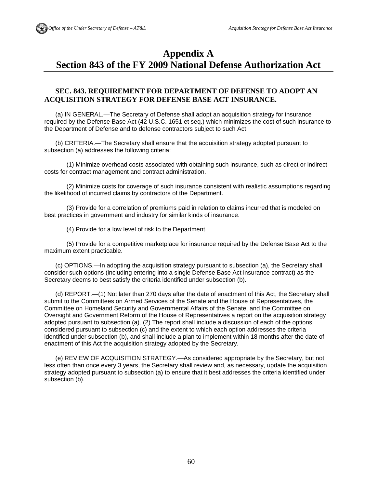# **Appendix A Section 843 of the FY 2009 National Defense Authorization Act**

## **SEC. 843. REQUIREMENT FOR DEPARTMENT OF DEFENSE TO ADOPT AN ACQUISITION STRATEGY FOR DEFENSE BASE ACT INSURANCE.**

(a) IN GENERAL.—The Secretary of Defense shall adopt an acquisition strategy for insurance required by the Defense Base Act (42 U.S.C. 1651 et seq.) which minimizes the cost of such insurance to the Department of Defense and to defense contractors subject to such Act.

(b) CRITERIA.—The Secretary shall ensure that the acquisition strategy adopted pursuant to subsection (a) addresses the following criteria:

 (1) Minimize overhead costs associated with obtaining such insurance, such as direct or indirect costs for contract management and contract administration.

 (2) Minimize costs for coverage of such insurance consistent with realistic assumptions regarding the likelihood of incurred claims by contractors of the Department.

 (3) Provide for a correlation of premiums paid in relation to claims incurred that is modeled on best practices in government and industry for similar kinds of insurance.

(4) Provide for a low level of risk to the Department.

 (5) Provide for a competitive marketplace for insurance required by the Defense Base Act to the maximum extent practicable.

(c) OPTIONS.—In adopting the acquisition strategy pursuant to subsection (a), the Secretary shall consider such options (including entering into a single Defense Base Act insurance contract) as the Secretary deems to best satisfy the criteria identified under subsection (b).

(d) REPORT.—(1) Not later than 270 days after the date of enactment of this Act, the Secretary shall submit to the Committees on Armed Services of the Senate and the House of Representatives, the Committee on Homeland Security and Governmental Affairs of the Senate, and the Committee on Oversight and Government Reform of the House of Representatives a report on the acquisition strategy adopted pursuant to subsection (a). (2) The report shall include a discussion of each of the options considered pursuant to subsection (c) and the extent to which each option addresses the criteria identified under subsection (b), and shall include a plan to implement within 18 months after the date of enactment of this Act the acquisition strategy adopted by the Secretary.

(e) REVIEW OF ACQUISITION STRATEGY.—As considered appropriate by the Secretary, but not less often than once every 3 years, the Secretary shall review and, as necessary, update the acquisition strategy adopted pursuant to subsection (a) to ensure that it best addresses the criteria identified under subsection (b).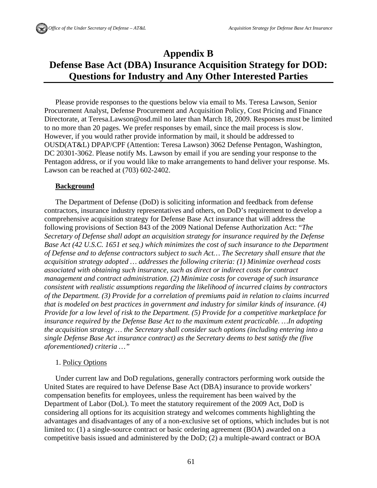# **Appendix B Defense Base Act (DBA) Insurance Acquisition Strategy for DOD: Questions for Industry and Any Other Interested Parties**

Please provide responses to the questions below via email to Ms. Teresa Lawson, Senior Procurement Analyst, Defense Procurement and Acquisition Policy, Cost Pricing and Finance Directorate, at Teresa.Lawson@osd.mil no later than March 18, 2009. Responses must be limited to no more than 20 pages. We prefer responses by email, since the mail process is slow. However, if you would rather provide information by mail, it should be addressed to OUSD(AT&L) DPAP/CPF (Attention: Teresa Lawson) 3062 Defense Pentagon, Washington, DC 20301-3062. Please notify Ms. Lawson by email if you are sending your response to the Pentagon address, or if you would like to make arrangements to hand deliver your response. Ms. Lawson can be reached at (703) 602-2402.

#### **Background**

The Department of Defense (DoD) is soliciting information and feedback from defense contractors, insurance industry representatives and others, on DoD's requirement to develop a comprehensive acquisition strategy for Defense Base Act insurance that will address the following provisions of Section 843 of the 2009 National Defense Authorization Act: "*The Secretary of Defense shall adopt an acquisition strategy for insurance required by the Defense Base Act (42 U.S.C. 1651 et seq.) which minimizes the cost of such insurance to the Department of Defense and to defense contractors subject to such Act… The Secretary shall ensure that the acquisition strategy adopted … addresses the following criteria: (1) Minimize overhead costs associated with obtaining such insurance, such as direct or indirect costs for contract management and contract administration. (2) Minimize costs for coverage of such insurance consistent with realistic assumptions regarding the likelihood of incurred claims by contractors of the Department. (3) Provide for a correlation of premiums paid in relation to claims incurred that is modeled on best practices in government and industry for similar kinds of insurance. (4) Provide for a low level of risk to the Department. (5) Provide for a competitive marketplace for insurance required by the Defense Base Act to the maximum extent practicable. …In adopting the acquisition strategy … the Secretary shall consider such options (including entering into a single Defense Base Act insurance contract) as the Secretary deems to best satisfy the (five aforementioned) criteria …"* 

#### 1. Policy Options

Under current law and DoD regulations, generally contractors performing work outside the United States are required to have Defense Base Act (DBA) insurance to provide workers' compensation benefits for employees, unless the requirement has been waived by the Department of Labor (DoL). To meet the statutory requirement of the 2009 Act, DoD is considering all options for its acquisition strategy and welcomes comments highlighting the advantages and disadvantages of any of a non-exclusive set of options, which includes but is not limited to: (1) a single-source contract or basic ordering agreement (BOA) awarded on a competitive basis issued and administered by the DoD; (2) a multiple-award contract or BOA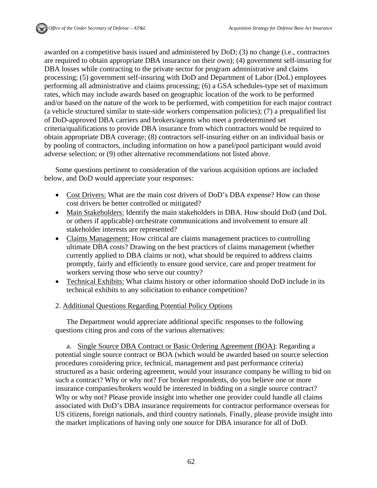awarded on a competitive basis issued and administered by DoD; (3) no change (i.e., contractors are required to obtain appropriate DBA insurance on their own); (4) government self-insuring for DBA losses while contracting to the private sector for program administrative and claims processing; (5) government self-insuring with DoD and Department of Labor (DoL) employees performing all administrative and claims processing; (6) a GSA schedules-type set of maximum rates, which may include awards based on geographic location of the work to be performed and/or based on the nature of the work to be performed, with competition for each major contract (a vehicle structured similar to state-side workers compensation policies); (7) a prequalified list of DoD-approved DBA carriers and brokers/agents who meet a predetermined set criteria/qualifications to provide DBA insurance from which contractors would be required to obtain appropriate DBA coverage; (8) contractors self-insuring either on an individual basis or by pooling of contractors, including information on how a panel/pool participant would avoid adverse selection; or (9) other alternative recommendations not listed above.

Some questions pertinent to consideration of the various acquisition options are included below, and DoD would appreciate your responses:

- Cost Drivers: What are the main cost drivers of DoD's DBA expense? How can those cost drivers be better controlled or mitigated?
- Main Stakeholders: Identify the main stakeholders in DBA. How should DoD (and DoL or others if applicable) orchestrate communications and involvement to ensure all stakeholder interests are represented?
- Claims Management: How critical are claims management practices to controlling ultimate DBA costs? Drawing on the best practices of claims management (whether currently applied to DBA claims or not), what should be required to address claims promptly, fairly and efficiently to ensure good service, care and proper treatment for workers serving those who serve our country?
- Technical Exhibits: What claims history or other information should DoD include in its technical exhibits to any solicitation to enhance competition?

## 2. Additional Questions Regarding Potential Policy Options

The Department would appreciate additional specific responses to the following questions citing pros and cons of the various alternatives:

a. Single Source DBA Contract or Basic Ordering Agreement (BOA): Regarding a potential single source contract or BOA (which would be awarded based on source selection procedures considering price, technical, management and past performance criteria) structured as a basic ordering agreement, would your insurance company be willing to bid on such a contract? Why or why not? For broker respondents, do you believe one or more insurance companies/brokers would be interested in bidding on a single source contract? Why or why not? Please provide insight into whether one provider could handle all claims associated with DoD's DBA insurance requirements for contractor performance overseas for US citizens, foreign nationals, and third country nationals. Finally, please provide insight into the market implications of having only one source for DBA insurance for all of DoD.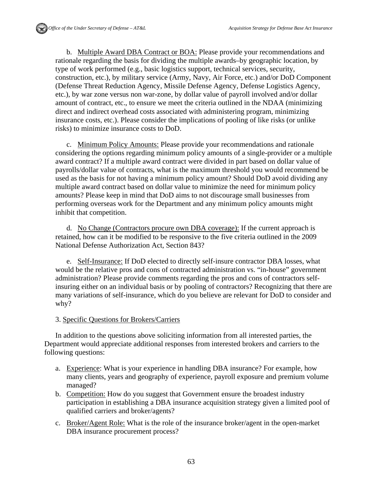b. Multiple Award DBA Contract or BOA: Please provide your recommendations and rationale regarding the basis for dividing the multiple awards–by geographic location, by type of work performed (e.g., basic logistics support, technical services, security, construction, etc.), by military service (Army, Navy, Air Force, etc.) and/or DoD Component (Defense Threat Reduction Agency, Missile Defense Agency, Defense Logistics Agency, etc.), by war zone versus non war-zone, by dollar value of payroll involved and/or dollar amount of contract, etc., to ensure we meet the criteria outlined in the NDAA (minimizing direct and indirect overhead costs associated with administering program, minimizing insurance costs, etc.). Please consider the implications of pooling of like risks (or unlike risks) to minimize insurance costs to DoD.

c. Minimum Policy Amounts: Please provide your recommendations and rationale considering the options regarding minimum policy amounts of a single-provider or a multiple award contract? If a multiple award contract were divided in part based on dollar value of payrolls/dollar value of contracts, what is the maximum threshold you would recommend be used as the basis for not having a minimum policy amount? Should DoD avoid dividing any multiple award contract based on dollar value to minimize the need for minimum policy amounts? Please keep in mind that DoD aims to not discourage small businesses from performing overseas work for the Department and any minimum policy amounts might inhibit that competition.

d. No Change (Contractors procure own DBA coverage): If the current approach is retained, how can it be modified to be responsive to the five criteria outlined in the 2009 National Defense Authorization Act, Section 843?

e. Self-Insurance: If DoD elected to directly self-insure contractor DBA losses, what would be the relative pros and cons of contracted administration vs. "in-house" government administration? Please provide comments regarding the pros and cons of contractors selfinsuring either on an individual basis or by pooling of contractors? Recognizing that there are many variations of self-insurance, which do you believe are relevant for DoD to consider and why?

## 3. Specific Questions for Brokers/Carriers

In addition to the questions above soliciting information from all interested parties, the Department would appreciate additional responses from interested brokers and carriers to the following questions:

- a. Experience: What is your experience in handling DBA insurance? For example, how many clients, years and geography of experience, payroll exposure and premium volume managed?
- b. Competition: How do you suggest that Government ensure the broadest industry participation in establishing a DBA insurance acquisition strategy given a limited pool of qualified carriers and broker/agents?
- c. Broker/Agent Role: What is the role of the insurance broker/agent in the open-market DBA insurance procurement process?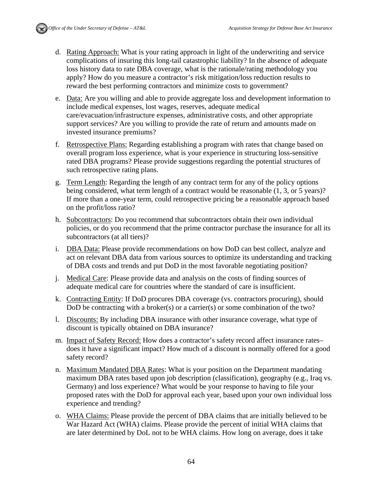- d. Rating Approach: What is your rating approach in light of the underwriting and service complications of insuring this long-tail catastrophic liability? In the absence of adequate loss history data to rate DBA coverage, what is the rationale/rating methodology you apply? How do you measure a contractor's risk mitigation/loss reduction results to reward the best performing contractors and minimize costs to government?
- e. Data: Are you willing and able to provide aggregate loss and development information to include medical expenses, lost wages, reserves, adequate medical care/evacuation/infrastructure expenses, administrative costs, and other appropriate support services? Are you willing to provide the rate of return and amounts made on invested insurance premiums?
- f. Retrospective Plans: Regarding establishing a program with rates that change based on overall program loss experience, what is your experience in structuring loss-sensitive rated DBA programs? Please provide suggestions regarding the potential structures of such retrospective rating plans.
- g. Term Length: Regarding the length of any contract term for any of the policy options being considered, what term length of a contract would be reasonable (1, 3, or 5 years)? If more than a one-year term, could retrospective pricing be a reasonable approach based on the profit/loss ratio?
- h. Subcontractors: Do you recommend that subcontractors obtain their own individual policies, or do you recommend that the prime contractor purchase the insurance for all its subcontractors (at all tiers)?
- i. DBA Data: Please provide recommendations on how DoD can best collect, analyze and act on relevant DBA data from various sources to optimize its understanding and tracking of DBA costs and trends and put DoD in the most favorable negotiating position?
- j. Medical Care: Please provide data and analysis on the costs of finding sources of adequate medical care for countries where the standard of care is insufficient.
- k. Contracting Entity: If DoD procures DBA coverage (vs. contractors procuring), should DoD be contracting with a broker(s) or a carrier(s) or some combination of the two?
- l. Discounts: By including DBA insurance with other insurance coverage, what type of discount is typically obtained on DBA insurance?
- m. Impact of Safety Record: How does a contractor's safety record affect insurance rates– does it have a significant impact? How much of a discount is normally offered for a good safety record?
- n. Maximum Mandated DBA Rates: What is your position on the Department mandating maximum DBA rates based upon job description (classification), geography (e.g., Iraq vs. Germany) and loss experience? What would be your response to having to file your proposed rates with the DoD for approval each year, based upon your own individual loss experience and trending?
- o. WHA Claims: Please provide the percent of DBA claims that are initially believed to be War Hazard Act (WHA) claims. Please provide the percent of initial WHA claims that are later determined by DoL not to be WHA claims. How long on average, does it take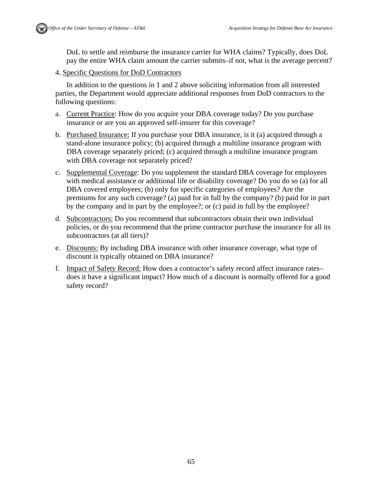

DoL to settle and reimburse the insurance carrier for WHA claims? Typically, does DoL pay the entire WHA claim amount the carrier submits–if not, what is the average percent?

4. Specific Questions for DoD Contractors

In addition to the questions in 1 and 2 above soliciting information from all interested parties, the Department would appreciate additional responses from DoD contractors to the following questions:

- a. Current Practice: How do you acquire your DBA coverage today? Do you purchase insurance or are you an approved self-insurer for this coverage?
- b. Purchased Insurance: If you purchase your DBA insurance, is it (a) acquired through a stand-alone insurance policy; (b) acquired through a multiline insurance program with DBA coverage separately priced; (c) acquired through a multiline insurance program with DBA coverage not separately priced?
- c. Supplemental Coverage: Do you supplement the standard DBA coverage for employees with medical assistance or additional life or disability coverage? Do you do so (a) for all DBA covered employees; (b) only for specific categories of employees? Are the premiums for any such coverage? (a) paid for in full by the company? (b) paid for in part by the company and in part by the employee?; or (c) paid in full by the employee?
- d. Subcontractors: Do you recommend that subcontractors obtain their own individual policies, or do you recommend that the prime contractor purchase the insurance for all its subcontractors (at all tiers)?
- e. Discounts: By including DBA insurance with other insurance coverage, what type of discount is typically obtained on DBA insurance?
- f. Impact of Safety Record: How does a contractor's safety record affect insurance rates– does it have a significant impact? How much of a discount is normally offered for a good safety record?